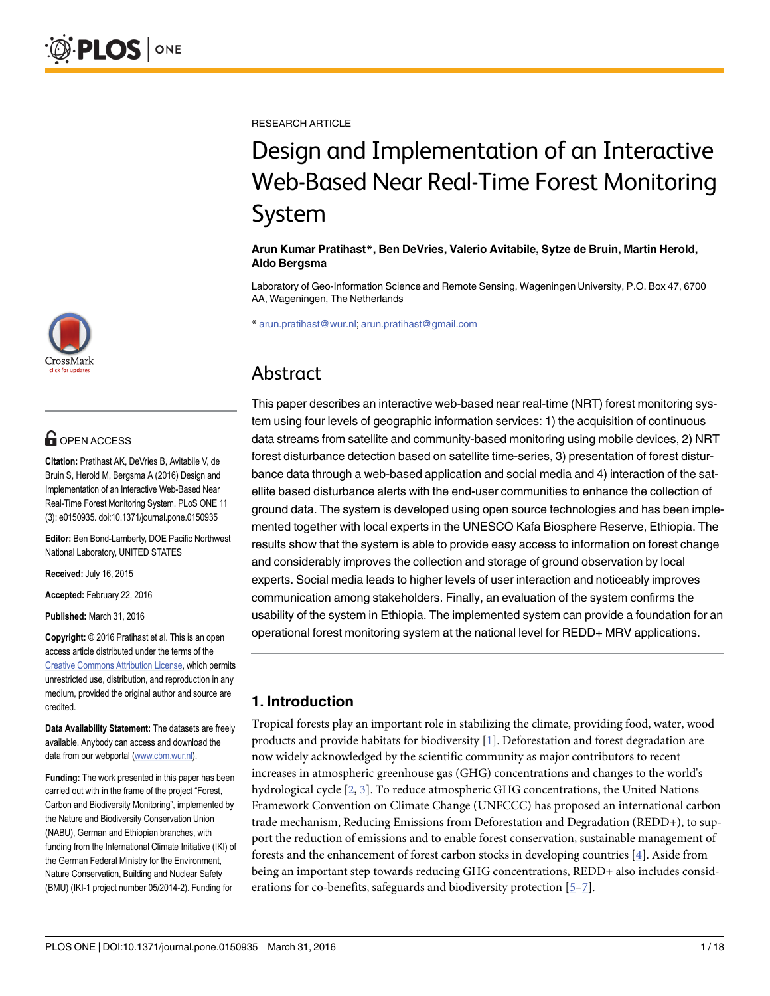

## **OPEN ACCESS**

Citation: Pratihast AK, DeVries B, Avitabile V, de Bruin S, Herold M, Bergsma A (2016) Design and Implementation of an Interactive Web-Based Near Real-Time Forest Monitoring System. PLoS ONE 11 (3): e0150935. doi:10.1371/journal.pone.0150935

Editor: Ben Bond-Lamberty, DOE Pacific Northwest National Laboratory, UNITED STATES

Received: July 16, 2015

Accepted: February 22, 2016

Published: March 31, 2016

Copyright: © 2016 Pratihast et al. This is an open access article distributed under the terms of the [Creative Commons Attribution License,](http://creativecommons.org/licenses/by/4.0/) which permits unrestricted use, distribution, and reproduction in any medium, provided the original author and source are credited.

Data Availability Statement: The datasets are freely available. Anybody can access and download the data from our webportal [\(www.cbm.wur.nl](http://www.cbm.wur.nl)).

Funding: The work presented in this paper has been carried out with in the frame of the project "Forest, Carbon and Biodiversity Monitoring", implemented by the Nature and Biodiversity Conservation Union (NABU), German and Ethiopian branches, with funding from the International Climate Initiative (IKI) of the German Federal Ministry for the Environment, Nature Conservation, Building and Nuclear Safety (BMU) (IKI-1 project number 05/2014-2). Funding for

<span id="page-0-0"></span>RESEARCH ARTICLE

# Design and Implementation of an Interactive Web-Based Near Real-Time Forest Monitoring System

#### Arun Kumar Pratihast\*, Ben DeVries, Valerio Avitabile, Sytze de Bruin, Martin Herold, Aldo Bergsma

Laboratory of Geo-Information Science and Remote Sensing, Wageningen University, P.O. Box 47, 6700 AA, Wageningen, The Netherlands

\* arun.pratihast@wur.nl; arun.pratihast@gmail.com

## Abstract

This paper describes an interactive web-based near real-time (NRT) forest monitoring system using four levels of geographic information services: 1) the acquisition of continuous data streams from satellite and community-based monitoring using mobile devices, 2) NRT forest disturbance detection based on satellite time-series, 3) presentation of forest disturbance data through a web-based application and social media and 4) interaction of the satellite based disturbance alerts with the end-user communities to enhance the collection of ground data. The system is developed using open source technologies and has been implemented together with local experts in the UNESCO Kafa Biosphere Reserve, Ethiopia. The results show that the system is able to provide easy access to information on forest change and considerably improves the collection and storage of ground observation by local experts. Social media leads to higher levels of user interaction and noticeably improves communication among stakeholders. Finally, an evaluation of the system confirms the usability of the system in Ethiopia. The implemented system can provide a foundation for an operational forest monitoring system at the national level for REDD+ MRV applications.

## 1. Introduction

Tropical forests play an important role in stabilizing the climate, providing food, water, wood products and provide habitats for biodiversity  $[1]$  $[1]$ . Deforestation and forest degradation are now widely acknowledged by the scientific community as major contributors to recent increases in atmospheric greenhouse gas (GHG) concentrations and changes to the world's hydrological cycle  $[2, 3]$  $[2, 3]$  $[2, 3]$  $[2, 3]$ . To reduce atmospheric GHG concentrations, the United Nations Framework Convention on Climate Change (UNFCCC) has proposed an international carbon trade mechanism, Reducing Emissions from Deforestation and Degradation (REDD+), to support the reduction of emissions and to enable forest conservation, sustainable management of forests and the enhancement of forest carbon stocks in developing countries [[4\]](#page-13-0). Aside from being an important step towards reducing GHG concentrations, REDD+ also includes considerations for co-benefits, safeguards and biodiversity protection  $[5-7]$  $[5-7]$  $[5-7]$ .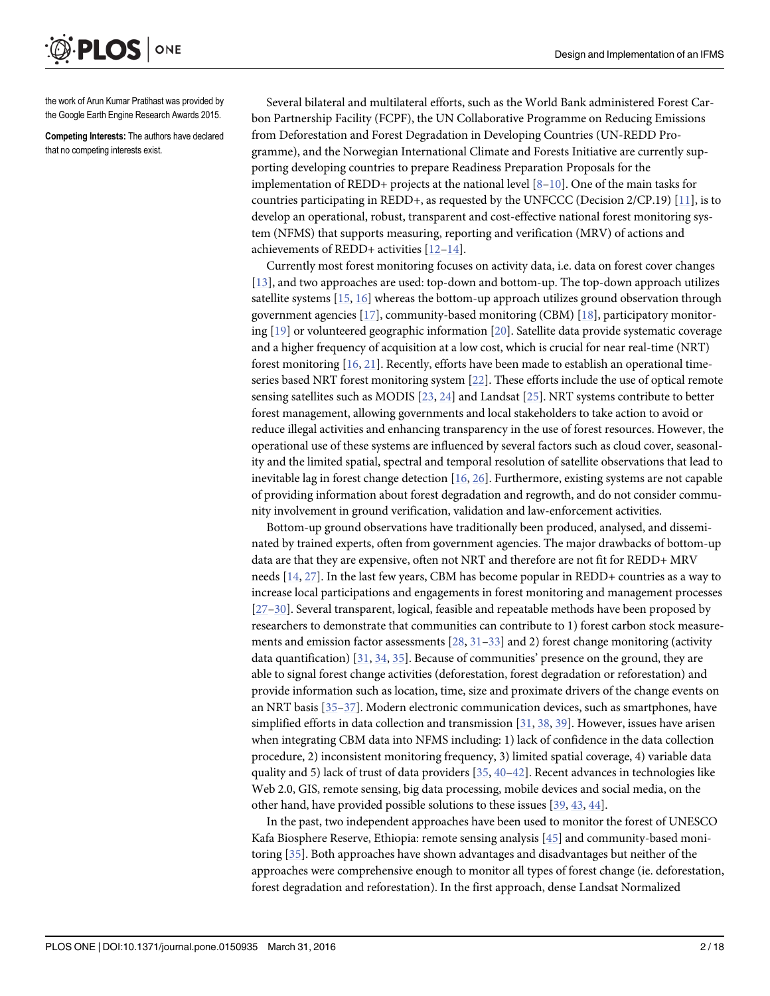<span id="page-1-0"></span>ONE **PLOS I** 

the work of Arun Kumar Pratihast was provided by the Google Earth Engine Research Awards 2015.

Competing Interests: The authors have declared that no competing interests exist.

Several bilateral and multilateral efforts, such as the World Bank administered Forest Carbon Partnership Facility (FCPF), the UN Collaborative Programme on Reducing Emissions from Deforestation and Forest Degradation in Developing Countries (UN-REDD Programme), and the Norwegian International Climate and Forests Initiative are currently supporting developing countries to prepare Readiness Preparation Proposals for the implementation of REDD+ projects at the national level  $[8-10]$  $[8-10]$  $[8-10]$  $[8-10]$  $[8-10]$ . One of the main tasks for countries participating in REDD+, as requested by the UNFCCC (Decision  $2/CP.19$ ) [ $11$ ], is to develop an operational, robust, transparent and cost-effective national forest monitoring system (NFMS) that supports measuring, reporting and verification (MRV) of actions and achievements of REDD+ activities [[12](#page-14-0)–[14](#page-14-0)].

Currently most forest monitoring focuses on activity data, i.e. data on forest cover changes [\[13](#page-14-0)], and two approaches are used: top-down and bottom-up. The top-down approach utilizes satellite systems [[15](#page-14-0), [16](#page-14-0)] whereas the bottom-up approach utilizes ground observation through government agencies [\[17\]](#page-14-0), community-based monitoring (CBM) [[18](#page-14-0)], participatory monitoring  $[19]$  or volunteered geographic information  $[20]$ . Satellite data provide systematic coverage and a higher frequency of acquisition at a low cost, which is crucial for near real-time (NRT) forest monitoring [[16](#page-14-0), [21](#page-14-0)]. Recently, efforts have been made to establish an operational timeseries based NRT forest monitoring system [[22](#page-14-0)]. These efforts include the use of optical remote sensing satellites such as MODIS [[23](#page-14-0), [24](#page-14-0)] and Landsat [\[25\]](#page-14-0). NRT systems contribute to better forest management, allowing governments and local stakeholders to take action to avoid or reduce illegal activities and enhancing transparency in the use of forest resources. However, the operational use of these systems are influenced by several factors such as cloud cover, seasonality and the limited spatial, spectral and temporal resolution of satellite observations that lead to inevitable lag in forest change detection [[16](#page-14-0), [26](#page-14-0)]. Furthermore, existing systems are not capable of providing information about forest degradation and regrowth, and do not consider community involvement in ground verification, validation and law-enforcement activities.

Bottom-up ground observations have traditionally been produced, analysed, and disseminated by trained experts, often from government agencies. The major drawbacks of bottom-up data are that they are expensive, often not NRT and therefore are not fit for REDD+ MRV needs [\[14,](#page-14-0) [27\]](#page-14-0). In the last few years, CBM has become popular in REDD+ countries as a way to increase local participations and engagements in forest monitoring and management processes [\[27](#page-14-0)–[30\]](#page-14-0). Several transparent, logical, feasible and repeatable methods have been proposed by researchers to demonstrate that communities can contribute to 1) forest carbon stock measurements and emission factor assessments  $[28, 31-33]$  $[28, 31-33]$  $[28, 31-33]$  $[28, 31-33]$  $[28, 31-33]$  $[28, 31-33]$  $[28, 31-33]$  and 2) forest change monitoring (activity data quantification) [\[31,](#page-15-0) [34,](#page-15-0) [35\]](#page-15-0). Because of communities' presence on the ground, they are able to signal forest change activities (deforestation, forest degradation or reforestation) and provide information such as location, time, size and proximate drivers of the change events on an NRT basis [[35](#page-15-0)–[37](#page-15-0)]. Modern electronic communication devices, such as smartphones, have simplified efforts in data collection and transmission  $[31, 38, 39]$  $[31, 38, 39]$  $[31, 38, 39]$  $[31, 38, 39]$  $[31, 38, 39]$  $[31, 38, 39]$  $[31, 38, 39]$ . However, issues have arisen when integrating CBM data into NFMS including: 1) lack of confidence in the data collection procedure, 2) inconsistent monitoring frequency, 3) limited spatial coverage, 4) variable data quality and 5) lack of trust of data providers  $[35, 40-42]$  $[35, 40-42]$  $[35, 40-42]$  $[35, 40-42]$  $[35, 40-42]$  $[35, 40-42]$ . Recent advances in technologies like Web 2.0, GIS, remote sensing, big data processing, mobile devices and social media, on the other hand, have provided possible solutions to these issues [\[39,](#page-15-0) [43,](#page-15-0) [44\]](#page-15-0).

In the past, two independent approaches have been used to monitor the forest of UNESCO Kafa Biosphere Reserve, Ethiopia: remote sensing analysis [\[45\]](#page-15-0) and community-based monitoring [[35\]](#page-15-0). Both approaches have shown advantages and disadvantages but neither of the approaches were comprehensive enough to monitor all types of forest change (ie. deforestation, forest degradation and reforestation). In the first approach, dense Landsat Normalized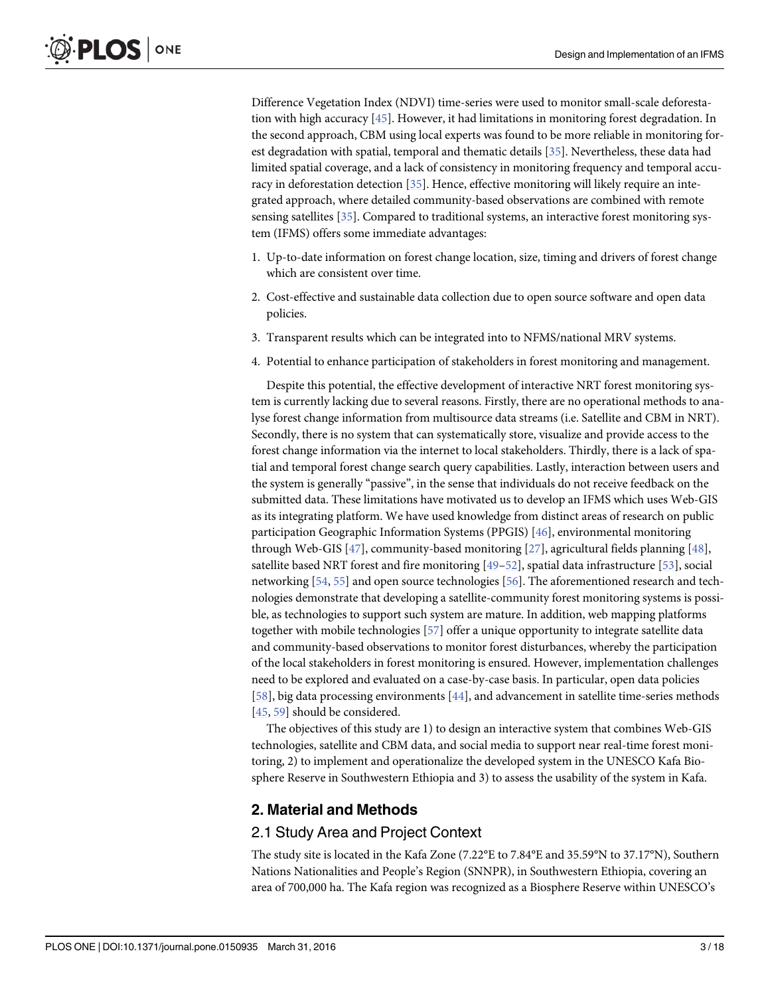<span id="page-2-0"></span>Difference Vegetation Index (NDVI) time-series were used to monitor small-scale deforestation with high accuracy [[45](#page-15-0)]. However, it had limitations in monitoring forest degradation. In the second approach, CBM using local experts was found to be more reliable in monitoring forest degradation with spatial, temporal and thematic details [[35](#page-15-0)]. Nevertheless, these data had limited spatial coverage, and a lack of consistency in monitoring frequency and temporal accuracy in deforestation detection [\[35\]](#page-15-0). Hence, effective monitoring will likely require an integrated approach, where detailed community-based observations are combined with remote sensing satellites [\[35\]](#page-15-0). Compared to traditional systems, an interactive forest monitoring system (IFMS) offers some immediate advantages:

- 1. Up-to-date information on forest change location, size, timing and drivers of forest change which are consistent over time.
- 2. Cost-effective and sustainable data collection due to open source software and open data policies.
- 3. Transparent results which can be integrated into to NFMS/national MRV systems.
- 4. Potential to enhance participation of stakeholders in forest monitoring and management.

Despite this potential, the effective development of interactive NRT forest monitoring system is currently lacking due to several reasons. Firstly, there are no operational methods to analyse forest change information from multisource data streams (i.e. Satellite and CBM in NRT). Secondly, there is no system that can systematically store, visualize and provide access to the forest change information via the internet to local stakeholders. Thirdly, there is a lack of spatial and temporal forest change search query capabilities. Lastly, interaction between users and the system is generally "passive", in the sense that individuals do not receive feedback on the submitted data. These limitations have motivated us to develop an IFMS which uses Web-GIS as its integrating platform. We have used knowledge from distinct areas of research on public participation Geographic Information Systems (PPGIS) [[46\]](#page-15-0), environmental monitoring through Web-GIS [ $47$ ], community-based monitoring [ $27$ ], agricultural fields planning [ $48$ ], satellite based NRT forest and fire monitoring  $[49-52]$  $[49-52]$  $[49-52]$ , spatial data infrastructure [[53](#page-16-0)], social networking [\[54,](#page-16-0) [55\]](#page-16-0) and open source technologies [[56](#page-16-0)]. The aforementioned research and technologies demonstrate that developing a satellite-community forest monitoring systems is possible, as technologies to support such system are mature. In addition, web mapping platforms together with mobile technologies [[57\]](#page-16-0) offer a unique opportunity to integrate satellite data and community-based observations to monitor forest disturbances, whereby the participation of the local stakeholders in forest monitoring is ensured. However, implementation challenges need to be explored and evaluated on a case-by-case basis. In particular, open data policies [\[58](#page-16-0)], big data processing environments [[44](#page-15-0)], and advancement in satellite time-series methods [\[45](#page-15-0), [59](#page-16-0)] should be considered.

The objectives of this study are 1) to design an interactive system that combines Web-GIS technologies, satellite and CBM data, and social media to support near real-time forest monitoring, 2) to implement and operationalize the developed system in the UNESCO Kafa Biosphere Reserve in Southwestern Ethiopia and 3) to assess the usability of the system in Kafa.

#### 2. Material and Methods

#### 2.1 Study Area and Project Context

The study site is located in the Kafa Zone (7.22°E to 7.84°E and 35.59°N to 37.17°N), Southern Nations Nationalities and People's Region (SNNPR), in Southwestern Ethiopia, covering an area of 700,000 ha. The Kafa region was recognized as a Biosphere Reserve within UNESCO's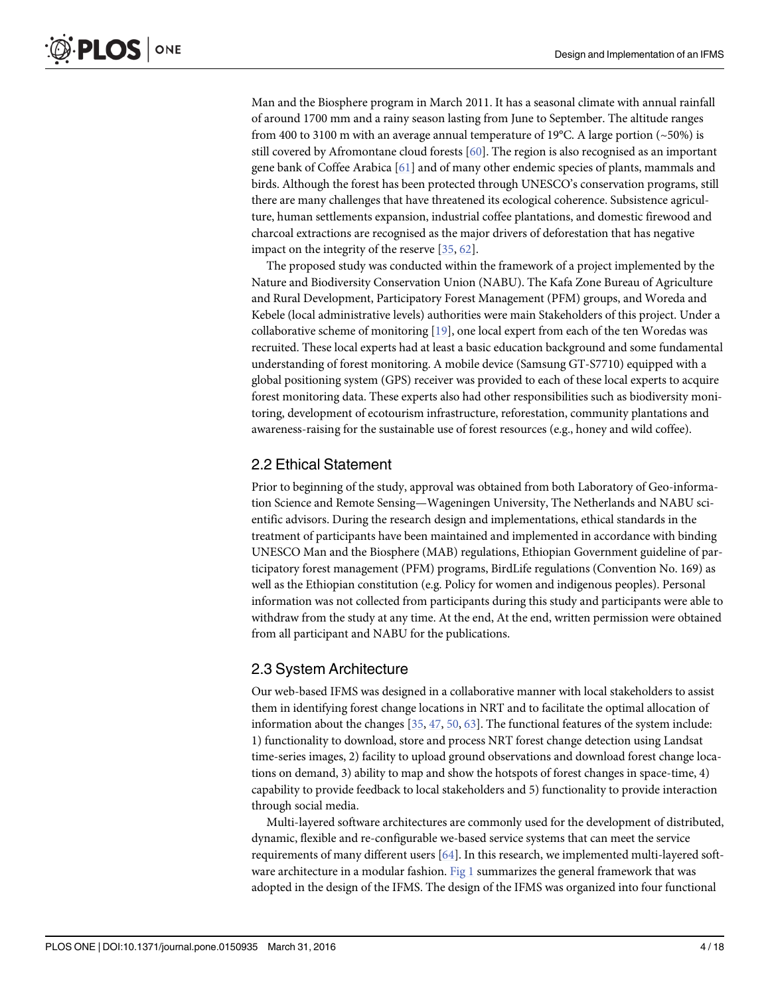<span id="page-3-0"></span>Man and the Biosphere program in March 2011. It has a seasonal climate with annual rainfall of around 1700 mm and a rainy season lasting from June to September. The altitude ranges from 400 to 3100 m with an average annual temperature of 19°C. A large portion (~50%) is still covered by Afromontane cloud forests [[60](#page-16-0)]. The region is also recognised as an important gene bank of Coffee Arabica [\[61\]](#page-16-0) and of many other endemic species of plants, mammals and birds. Although the forest has been protected through UNESCO's conservation programs, still there are many challenges that have threatened its ecological coherence. Subsistence agriculture, human settlements expansion, industrial coffee plantations, and domestic firewood and charcoal extractions are recognised as the major drivers of deforestation that has negative impact on the integrity of the reserve [\[35](#page-15-0), [62](#page-16-0)].

The proposed study was conducted within the framework of a project implemented by the Nature and Biodiversity Conservation Union (NABU). The Kafa Zone Bureau of Agriculture and Rural Development, Participatory Forest Management (PFM) groups, and Woreda and Kebele (local administrative levels) authorities were main Stakeholders of this project. Under a collaborative scheme of monitoring  $[19]$ , one local expert from each of the ten Woredas was recruited. These local experts had at least a basic education background and some fundamental understanding of forest monitoring. A mobile device (Samsung GT-S7710) equipped with a global positioning system (GPS) receiver was provided to each of these local experts to acquire forest monitoring data. These experts also had other responsibilities such as biodiversity monitoring, development of ecotourism infrastructure, reforestation, community plantations and awareness-raising for the sustainable use of forest resources (e.g., honey and wild coffee).

## 2.2 Ethical Statement

Prior to beginning of the study, approval was obtained from both Laboratory of Geo-information Science and Remote Sensing—Wageningen University, The Netherlands and NABU scientific advisors. During the research design and implementations, ethical standards in the treatment of participants have been maintained and implemented in accordance with binding UNESCO Man and the Biosphere (MAB) regulations, Ethiopian Government guideline of participatory forest management (PFM) programs, BirdLife regulations (Convention No. 169) as well as the Ethiopian constitution (e.g. Policy for women and indigenous peoples). Personal information was not collected from participants during this study and participants were able to withdraw from the study at any time. At the end, At the end, written permission were obtained from all participant and NABU for the publications.

## 2.3 System Architecture

Our web-based IFMS was designed in a collaborative manner with local stakeholders to assist them in identifying forest change locations in NRT and to facilitate the optimal allocation of information about the changes  $[35, 47, 50, 63]$  $[35, 47, 50, 63]$  $[35, 47, 50, 63]$  $[35, 47, 50, 63]$  $[35, 47, 50, 63]$  $[35, 47, 50, 63]$  $[35, 47, 50, 63]$ . The functional features of the system include: 1) functionality to download, store and process NRT forest change detection using Landsat time-series images, 2) facility to upload ground observations and download forest change locations on demand, 3) ability to map and show the hotspots of forest changes in space-time, 4) capability to provide feedback to local stakeholders and 5) functionality to provide interaction through social media.

Multi-layered software architectures are commonly used for the development of distributed, dynamic, flexible and re-configurable we-based service systems that can meet the service requirements of many different users [[64](#page-16-0)]. In this research, we implemented multi-layered soft-ware architecture in a modular fashion. [Fig 1](#page-4-0) summarizes the general framework that was adopted in the design of the IFMS. The design of the IFMS was organized into four functional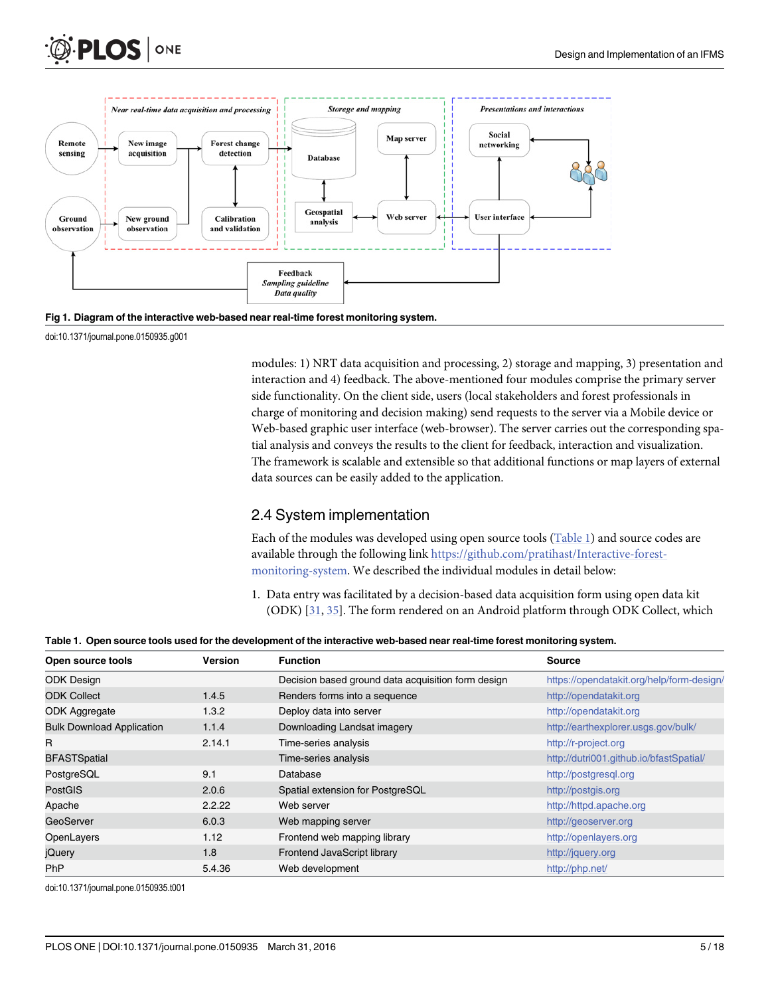<span id="page-4-0"></span>



[Fig 1. D](#page-3-0)iagram of the interactive web-based near real-time forest monitoring system.

doi:10.1371/journal.pone.0150935.g001

modules: 1) NRT data acquisition and processing, 2) storage and mapping, 3) presentation and interaction and 4) feedback. The above-mentioned four modules comprise the primary server side functionality. On the client side, users (local stakeholders and forest professionals in charge of monitoring and decision making) send requests to the server via a Mobile device or Web-based graphic user interface (web-browser). The server carries out the corresponding spatial analysis and conveys the results to the client for feedback, interaction and visualization. The framework is scalable and extensible so that additional functions or map layers of external data sources can be easily added to the application.

## 2.4 System implementation

Each of the modules was developed using open source tools (Table 1) and source codes are available through the following link [https://github.com/pratihast/Interactive-forest](https://github.com/pratihast/Interactive-forest-monitoring-system)[monitoring-system](https://github.com/pratihast/Interactive-forest-monitoring-system). We described the individual modules in detail below:

1. Data entry was facilitated by a decision-based data acquisition form using open data kit (ODK) [[31](#page-15-0), [35](#page-15-0)]. The form rendered on an Android platform through ODK Collect, which

Table 1. Open source tools used for the development of the interactive web-based near real-time forest monitoring system.

| Version | <b>Function</b>                                    | <b>Source</b>                             |
|---------|----------------------------------------------------|-------------------------------------------|
|         | Decision based ground data acquisition form design | https://opendatakit.org/help/form-design/ |
| 1.4.5   | Renders forms into a sequence                      | http://opendatakit.org                    |
| 1.3.2   | Deploy data into server                            | http://opendatakit.org                    |
| 1.1.4   | Downloading Landsat imagery                        | http://earthexplorer.usgs.gov/bulk/       |
| 2.14.1  | Time-series analysis                               | http://r-project.org                      |
|         | Time-series analysis                               | http://dutri001.github.io/bfastSpatial/   |
| 9.1     | Database                                           | http://postgresql.org                     |
| 2.0.6   | Spatial extension for PostgreSQL                   | http://postgis.org                        |
| 2.2.22  | Web server                                         | http://httpd.apache.org                   |
| 6.0.3   | Web mapping server                                 | http://geoserver.org                      |
| 1.12    | Frontend web mapping library                       | http://openlayers.org                     |
| 1.8     | Frontend JavaScript library                        | http://jquery.org                         |
| 5.4.36  | Web development                                    | http://php.net/                           |
|         |                                                    |                                           |

doi:10.1371/journal.pone.0150935.t001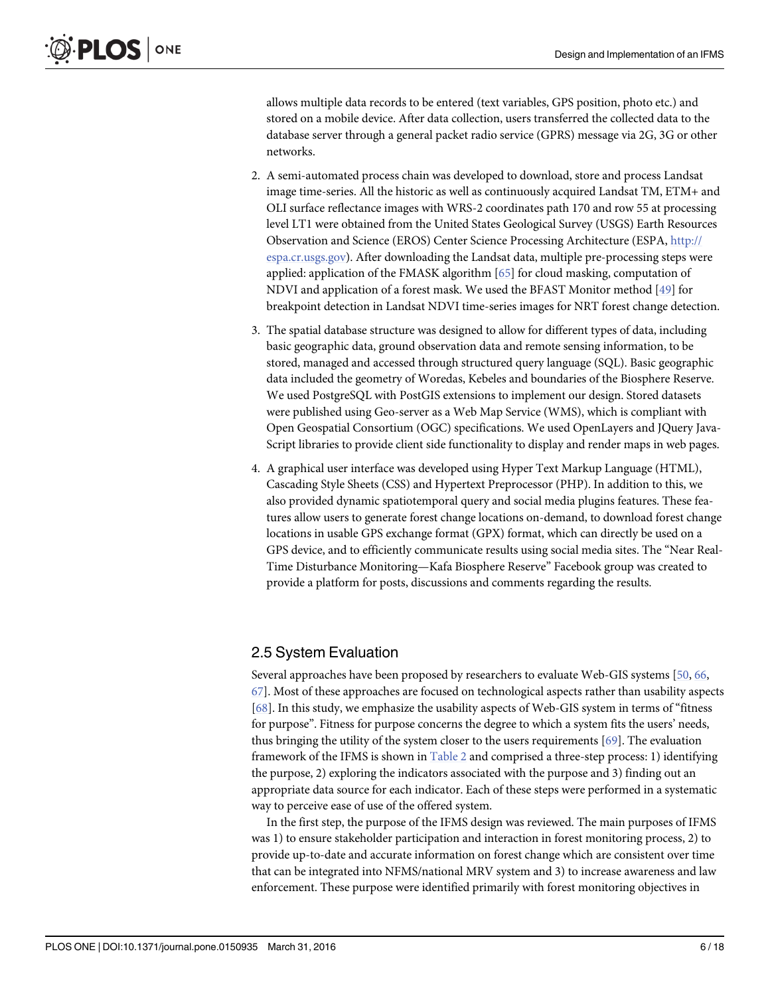<span id="page-5-0"></span>allows multiple data records to be entered (text variables, GPS position, photo etc.) and stored on a mobile device. After data collection, users transferred the collected data to the database server through a general packet radio service (GPRS) message via 2G, 3G or other networks.

- 2. A semi-automated process chain was developed to download, store and process Landsat image time-series. All the historic as well as continuously acquired Landsat TM, ETM+ and OLI surface reflectance images with WRS-2 coordinates path 170 and row 55 at processing level LT1 were obtained from the United States Geological Survey (USGS) Earth Resources Observation and Science (EROS) Center Science Processing Architecture (ESPA, [http://](http://espa.cr.usgs.gov/) [espa.cr.usgs.gov](http://espa.cr.usgs.gov/)). After downloading the Landsat data, multiple pre-processing steps were applied: application of the FMASK algorithm [[65](#page-16-0)] for cloud masking, computation of NDVI and application of a forest mask. We used the BFAST Monitor method [\[49\]](#page-15-0) for breakpoint detection in Landsat NDVI time-series images for NRT forest change detection.
- 3. The spatial database structure was designed to allow for different types of data, including basic geographic data, ground observation data and remote sensing information, to be stored, managed and accessed through structured query language (SQL). Basic geographic data included the geometry of Woredas, Kebeles and boundaries of the Biosphere Reserve. We used PostgreSQL with PostGIS extensions to implement our design. Stored datasets were published using Geo-server as a Web Map Service (WMS), which is compliant with Open Geospatial Consortium (OGC) specifications. We used OpenLayers and JQuery Java-Script libraries to provide client side functionality to display and render maps in web pages.
- 4. A graphical user interface was developed using Hyper Text Markup Language (HTML), Cascading Style Sheets (CSS) and Hypertext Preprocessor (PHP). In addition to this, we also provided dynamic spatiotemporal query and social media plugins features. These features allow users to generate forest change locations on-demand, to download forest change locations in usable GPS exchange format (GPX) format, which can directly be used on a GPS device, and to efficiently communicate results using social media sites. The "Near Real-Time Disturbance Monitoring—Kafa Biosphere Reserve" Facebook group was created to provide a platform for posts, discussions and comments regarding the results.

## 2.5 System Evaluation

Several approaches have been proposed by researchers to evaluate Web-GIS systems [\[50,](#page-15-0) [66,](#page-16-0) [67\]](#page-16-0). Most of these approaches are focused on technological aspects rather than usability aspects [\[68](#page-16-0)]. In this study, we emphasize the usability aspects of Web-GIS system in terms of "fitness for purpose". Fitness for purpose concerns the degree to which a system fits the users' needs, thus bringing the utility of the system closer to the users requirements [[69](#page-16-0)]. The evaluation framework of the IFMS is shown in [Table 2](#page-6-0) and comprised a three-step process: 1) identifying the purpose, 2) exploring the indicators associated with the purpose and 3) finding out an appropriate data source for each indicator. Each of these steps were performed in a systematic way to perceive ease of use of the offered system.

In the first step, the purpose of the IFMS design was reviewed. The main purposes of IFMS was 1) to ensure stakeholder participation and interaction in forest monitoring process, 2) to provide up-to-date and accurate information on forest change which are consistent over time that can be integrated into NFMS/national MRV system and 3) to increase awareness and law enforcement. These purpose were identified primarily with forest monitoring objectives in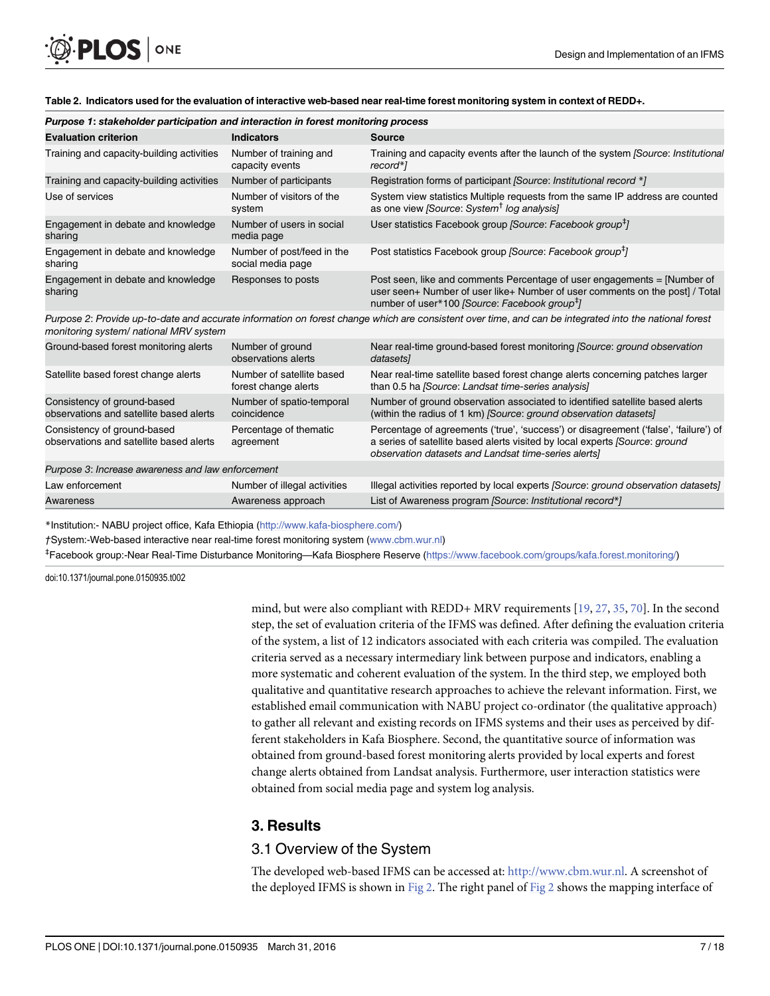| Purpose 1: stakeholder participation and interaction in forest monitoring process |                                                   |                                                                                                                                                                                                                             |  |  |  |  |  |
|-----------------------------------------------------------------------------------|---------------------------------------------------|-----------------------------------------------------------------------------------------------------------------------------------------------------------------------------------------------------------------------------|--|--|--|--|--|
| <b>Evaluation criterion</b>                                                       | <b>Indicators</b>                                 | <b>Source</b>                                                                                                                                                                                                               |  |  |  |  |  |
| Training and capacity-building activities                                         | Number of training and<br>capacity events         | Training and capacity events after the launch of the system (Source: Institutional<br>record*1                                                                                                                              |  |  |  |  |  |
| Training and capacity-building activities                                         | Number of participants                            | Registration forms of participant [Source: Institutional record *]                                                                                                                                                          |  |  |  |  |  |
| Use of services                                                                   | Number of visitors of the<br>system               | System view statistics Multiple requests from the same IP address are counted<br>as one view [Source: System <sup>†</sup> log analysis]                                                                                     |  |  |  |  |  |
| Engagement in debate and knowledge<br>sharing                                     | Number of users in social<br>media page           | User statistics Facebook group <i>[Source: Facebook group</i> <sup>#</sup> ]                                                                                                                                                |  |  |  |  |  |
| Engagement in debate and knowledge<br>sharing                                     | Number of post/feed in the<br>social media page   | Post statistics Facebook group [Source: Facebook group <sup>#</sup> ]                                                                                                                                                       |  |  |  |  |  |
| Engagement in debate and knowledge<br>sharing                                     | Responses to posts                                | Post seen, like and comments Percentage of user engagements = [Number of<br>user seen+ Number of user like+ Number of user comments on the post] / Total<br>number of user*100 [Source: Facebook group <sup>#</sup> ]       |  |  |  |  |  |
| monitoring system/ national MRV system                                            |                                                   | Purpose 2: Provide up-to-date and accurate information on forest change which are consistent over time, and can be integrated into the national forest                                                                      |  |  |  |  |  |
| Ground-based forest monitoring alerts                                             | Number of ground<br>observations alerts           | Near real-time ground-based forest monitoring (Source: ground observation<br>datasets]                                                                                                                                      |  |  |  |  |  |
| Satellite based forest change alerts                                              | Number of satellite based<br>forest change alerts | Near real-time satellite based forest change alerts concerning patches larger<br>than 0.5 ha [Source: Landsat time-series analysis]                                                                                         |  |  |  |  |  |
| Consistency of ground-based<br>observations and satellite based alerts            | Number of spatio-temporal<br>coincidence          | Number of ground observation associated to identified satellite based alerts<br>(within the radius of 1 km) [Source: ground observation datasets]                                                                           |  |  |  |  |  |
| Consistency of ground-based<br>observations and satellite based alerts            | Percentage of thematic<br>agreement               | Percentage of agreements ('true', 'success') or disagreement ('false', 'failure') of<br>a series of satellite based alerts visited by local experts (Source: ground<br>observation datasets and Landsat time-series alerts] |  |  |  |  |  |
| Purpose 3: Increase awareness and law enforcement                                 |                                                   |                                                                                                                                                                                                                             |  |  |  |  |  |
| Law enforcement                                                                   | Number of illegal activities                      | Illegal activities reported by local experts (Source: ground observation datasets)                                                                                                                                          |  |  |  |  |  |
| Awareness                                                                         | Awareness approach                                | List of Awareness program [Source: Institutional record*]                                                                                                                                                                   |  |  |  |  |  |

<span id="page-6-0"></span>[Table 2.](#page-5-0) Indicators used for the evaluation of interactive web-based near real-time forest monitoring system in context of REDD+.

\*Institution:- NABU project office, Kafa Ethiopia (<http://www.kafa-biosphere.com/>)

†System:-Web-based interactive near real-time forest monitoring system [\(www.cbm.wur.nl\)](http://www.cbm.wur.nl/)

‡ Facebook group:-Near Real-Time Disturbance Monitoring—Kafa Biosphere Reserve [\(https://www.facebook.com/groups/kafa.forest.monitoring/\)](https://www.facebook.com/groups/kafa.forest.monitoring/)

doi:10.1371/journal.pone.0150935.t002

mind, but were also compliant with REDD+ MRV requirements [[19](#page-14-0), [27](#page-14-0), [35](#page-15-0), [70](#page-16-0)]. In the second step, the set of evaluation criteria of the IFMS was defined. After defining the evaluation criteria of the system, a list of 12 indicators associated with each criteria was compiled. The evaluation criteria served as a necessary intermediary link between purpose and indicators, enabling a more systematic and coherent evaluation of the system. In the third step, we employed both qualitative and quantitative research approaches to achieve the relevant information. First, we established email communication with NABU project co-ordinator (the qualitative approach) to gather all relevant and existing records on IFMS systems and their uses as perceived by different stakeholders in Kafa Biosphere. Second, the quantitative source of information was obtained from ground-based forest monitoring alerts provided by local experts and forest change alerts obtained from Landsat analysis. Furthermore, user interaction statistics were obtained from social media page and system log analysis.

## 3. Results

## 3.1 Overview of the System

The developed web-based IFMS can be accessed at: [http://www.cbm.wur.nl.](http://www.cbm.wur.nl/) A screenshot of the deployed IFMS is shown in [Fig 2.](#page-7-0) The right panel of [Fig 2](#page-7-0) shows the mapping interface of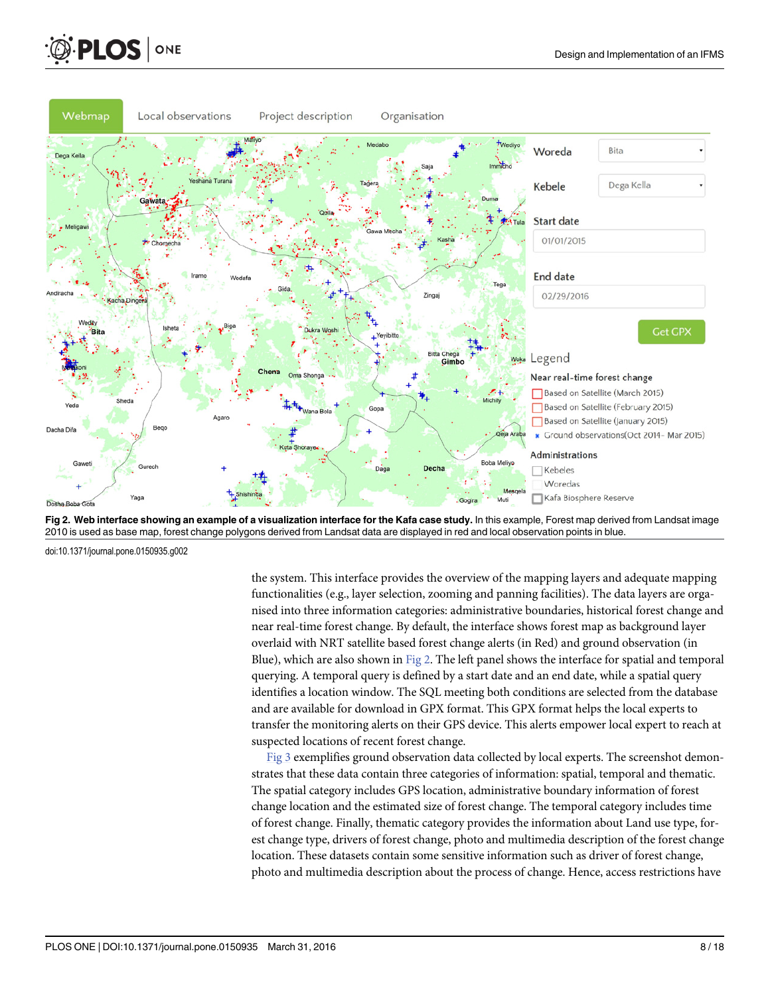<span id="page-7-0"></span>



[Fig 2. W](#page-6-0)eb interface showing an example of a visualization interface for the Kafa case study. In this example, Forest map derived from Landsat image 2010 is used as base map, forest change polygons derived from Landsat data are displayed in red and local observation points in blue.

doi:10.1371/journal.pone.0150935.g002

the system. This interface provides the overview of the mapping layers and adequate mapping functionalities (e.g., layer selection, zooming and panning facilities). The data layers are organised into three information categories: administrative boundaries, historical forest change and near real-time forest change. By default, the interface shows forest map as background layer overlaid with NRT satellite based forest change alerts (in Red) and ground observation (in Blue), which are also shown in Fig 2. The left panel shows the interface for spatial and temporal querying. A temporal query is defined by a start date and an end date, while a spatial query identifies a location window. The SQL meeting both conditions are selected from the database and are available for download in GPX format. This GPX format helps the local experts to transfer the monitoring alerts on their GPS device. This alerts empower local expert to reach at suspected locations of recent forest change.

[Fig 3](#page-8-0) exemplifies ground observation data collected by local experts. The screenshot demonstrates that these data contain three categories of information: spatial, temporal and thematic. The spatial category includes GPS location, administrative boundary information of forest change location and the estimated size of forest change. The temporal category includes time of forest change. Finally, thematic category provides the information about Land use type, forest change type, drivers of forest change, photo and multimedia description of the forest change location. These datasets contain some sensitive information such as driver of forest change, photo and multimedia description about the process of change. Hence, access restrictions have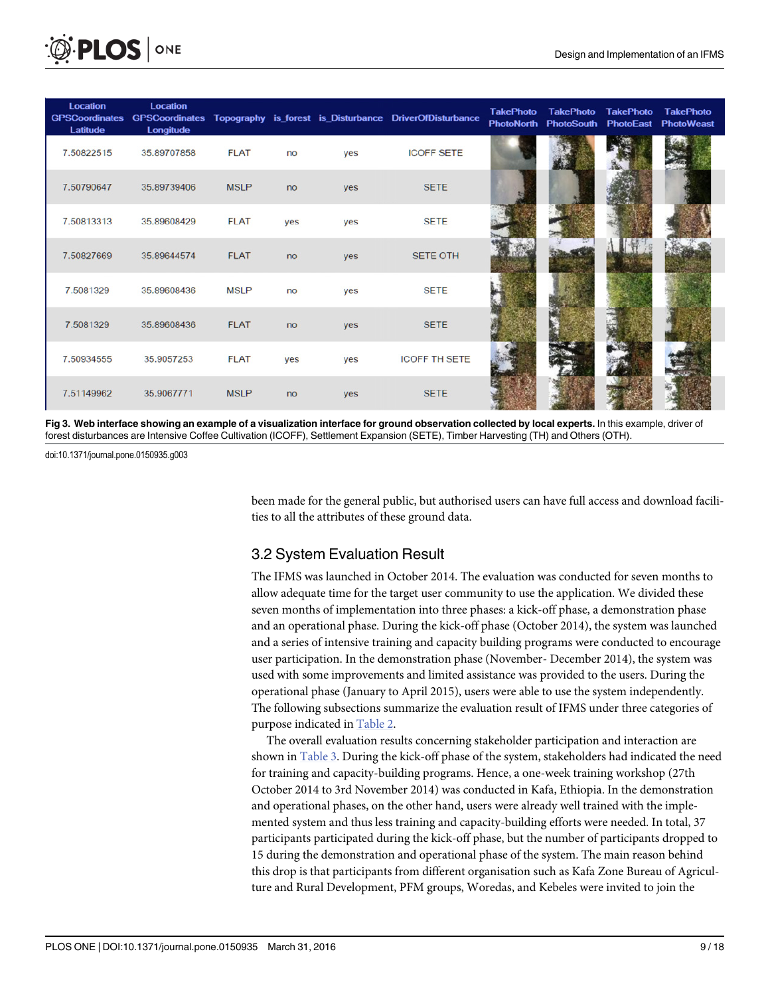<span id="page-8-0"></span>

| <b>Location</b><br><b>GPSCoordinates</b><br>Latitude | <b>Location</b><br>Longitude |             |     |     | GPSCoordinates Topography is forest is Disturbance DriverOfDisturbance | <b>TakePhoto</b><br><b>PhotoNorth</b> | <b>TakePhoto</b><br><b>PhotoSouth</b> | <b>TakePhoto</b><br><b>PhotoEast</b> | <b>TakePhoto</b><br><b>PhotoWeast</b> |
|------------------------------------------------------|------------------------------|-------------|-----|-----|------------------------------------------------------------------------|---------------------------------------|---------------------------------------|--------------------------------------|---------------------------------------|
| 7.50822515                                           | 35.89707858                  | <b>FLAT</b> | no  | yes | <b>ICOFF SETE</b>                                                      |                                       |                                       |                                      |                                       |
| 7.50790647                                           | 35.89739406                  | <b>MSLP</b> | no  | yes | <b>SETE</b>                                                            |                                       |                                       |                                      |                                       |
| 7.50813313                                           | 35.89608429                  | <b>FLAT</b> | yes | yes | <b>SETE</b>                                                            |                                       |                                       |                                      |                                       |
| 7.50827669                                           | 35.89644574                  | <b>FLAT</b> | no  | yes | <b>SETE OTH</b>                                                        |                                       |                                       |                                      |                                       |
| 7.5081329                                            | 35.89608436                  | <b>MSLP</b> | no  | yes | <b>SETE</b>                                                            |                                       |                                       |                                      |                                       |
| 7.5081329                                            | 35.89608436                  | <b>FLAT</b> | no  | yes | <b>SETE</b>                                                            |                                       |                                       |                                      |                                       |
| 7.50934555                                           | 35.9057253                   | <b>FLAT</b> | yes | yes | <b>ICOFF TH SETE</b>                                                   |                                       |                                       |                                      |                                       |
| 7.51149962                                           | 35.9067771                   | <b>MSLP</b> | no  | yes | <b>SETE</b>                                                            |                                       |                                       |                                      |                                       |

[Fig 3. W](#page-7-0)eb interface showing an example of a visualization interface for ground observation collected by local experts. In this example, driver of forest disturbances are Intensive Coffee Cultivation (ICOFF), Settlement Expansion (SETE), Timber Harvesting (TH) and Others (OTH).

doi:10.1371/journal.pone.0150935.g003

been made for the general public, but authorised users can have full access and download facilities to all the attributes of these ground data.

## 3.2 System Evaluation Result

The IFMS was launched in October 2014. The evaluation was conducted for seven months to allow adequate time for the target user community to use the application. We divided these seven months of implementation into three phases: a kick-off phase, a demonstration phase and an operational phase. During the kick-off phase (October 2014), the system was launched and a series of intensive training and capacity building programs were conducted to encourage user participation. In the demonstration phase (November- December 2014), the system was used with some improvements and limited assistance was provided to the users. During the operational phase (January to April 2015), users were able to use the system independently. The following subsections summarize the evaluation result of IFMS under three categories of purpose indicated in [Table 2.](#page-6-0)

The overall evaluation results concerning stakeholder participation and interaction are shown in [Table 3.](#page-9-0) During the kick-off phase of the system, stakeholders had indicated the need for training and capacity-building programs. Hence, a one-week training workshop (27th October 2014 to 3rd November 2014) was conducted in Kafa, Ethiopia. In the demonstration and operational phases, on the other hand, users were already well trained with the implemented system and thus less training and capacity-building efforts were needed. In total, 37 participants participated during the kick-off phase, but the number of participants dropped to 15 during the demonstration and operational phase of the system. The main reason behind this drop is that participants from different organisation such as Kafa Zone Bureau of Agriculture and Rural Development, PFM groups, Woredas, and Kebeles were invited to join the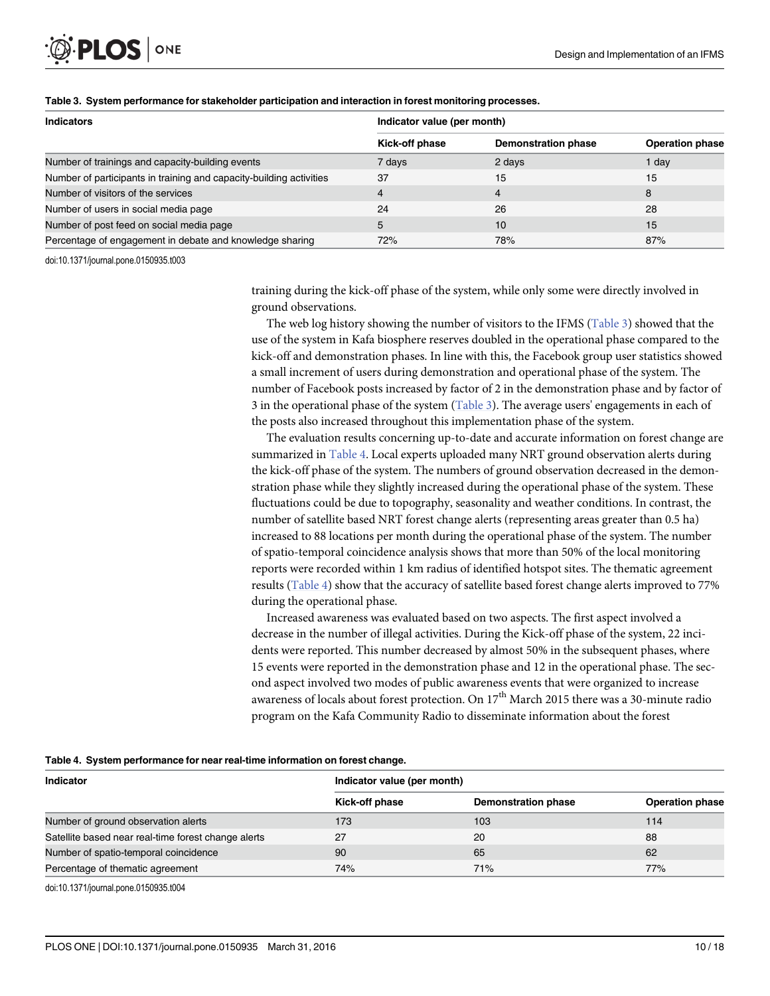<span id="page-9-0"></span>

| <b>Indicators</b>                                                   | Indicator value (per month) |                            |                        |  |  |
|---------------------------------------------------------------------|-----------------------------|----------------------------|------------------------|--|--|
|                                                                     | Kick-off phase              | <b>Demonstration phase</b> | <b>Operation phase</b> |  |  |
| Number of trainings and capacity-building events                    | 7 days                      | 2 days                     | 1 dav                  |  |  |
| Number of participants in training and capacity-building activities | 37                          | 15                         | 15                     |  |  |
| Number of visitors of the services                                  | $\overline{4}$              | 4                          | 8                      |  |  |
| Number of users in social media page                                | 24                          | 26                         | 28                     |  |  |
| Number of post feed on social media page                            | 5                           | 10                         | 15                     |  |  |
| Percentage of engagement in debate and knowledge sharing            | 72%                         | 78%                        | 87%                    |  |  |

#### [Table 3.](#page-8-0) System performance for stakeholder participation and interaction in forest monitoring processes.

doi:10.1371/journal.pone.0150935.t003

training during the kick-off phase of the system, while only some were directly involved in ground observations.

The web log history showing the number of visitors to the IFMS (Table 3) showed that the use of the system in Kafa biosphere reserves doubled in the operational phase compared to the kick-off and demonstration phases. In line with this, the Facebook group user statistics showed a small increment of users during demonstration and operational phase of the system. The number of Facebook posts increased by factor of 2 in the demonstration phase and by factor of 3 in the operational phase of the system (Table 3). The average users' engagements in each of the posts also increased throughout this implementation phase of the system.

The evaluation results concerning up-to-date and accurate information on forest change are summarized in Table 4. Local experts uploaded many NRT ground observation alerts during the kick-off phase of the system. The numbers of ground observation decreased in the demonstration phase while they slightly increased during the operational phase of the system. These fluctuations could be due to topography, seasonality and weather conditions. In contrast, the number of satellite based NRT forest change alerts (representing areas greater than 0.5 ha) increased to 88 locations per month during the operational phase of the system. The number of spatio-temporal coincidence analysis shows that more than 50% of the local monitoring reports were recorded within 1 km radius of identified hotspot sites. The thematic agreement results (Table 4) show that the accuracy of satellite based forest change alerts improved to 77% during the operational phase.

Increased awareness was evaluated based on two aspects. The first aspect involved a decrease in the number of illegal activities. During the Kick-off phase of the system, 22 incidents were reported. This number decreased by almost 50% in the subsequent phases, where 15 events were reported in the demonstration phase and 12 in the operational phase. The second aspect involved two modes of public awareness events that were organized to increase awareness of locals about forest protection. On  $17<sup>th</sup>$  March 2015 there was a 30-minute radio program on the Kafa Community Radio to disseminate information about the forest

|  | Table 4. System performance for near real-time information on forest change. |  |  |  |
|--|------------------------------------------------------------------------------|--|--|--|
|  |                                                                              |  |  |  |

| <b>Indicator</b>                                    | Indicator value (per month) |                            |                        |  |  |  |
|-----------------------------------------------------|-----------------------------|----------------------------|------------------------|--|--|--|
|                                                     | Kick-off phase              | <b>Demonstration phase</b> | <b>Operation phase</b> |  |  |  |
| Number of ground observation alerts                 | 173                         | 103                        | 114                    |  |  |  |
| Satellite based near real-time forest change alerts | 27                          | 20                         | 88                     |  |  |  |
| Number of spatio-temporal coincidence               | 90                          | 65                         | 62                     |  |  |  |
| Percentage of thematic agreement                    | 74%                         | 71%                        | 77%                    |  |  |  |

doi:10.1371/journal.pone.0150935.t004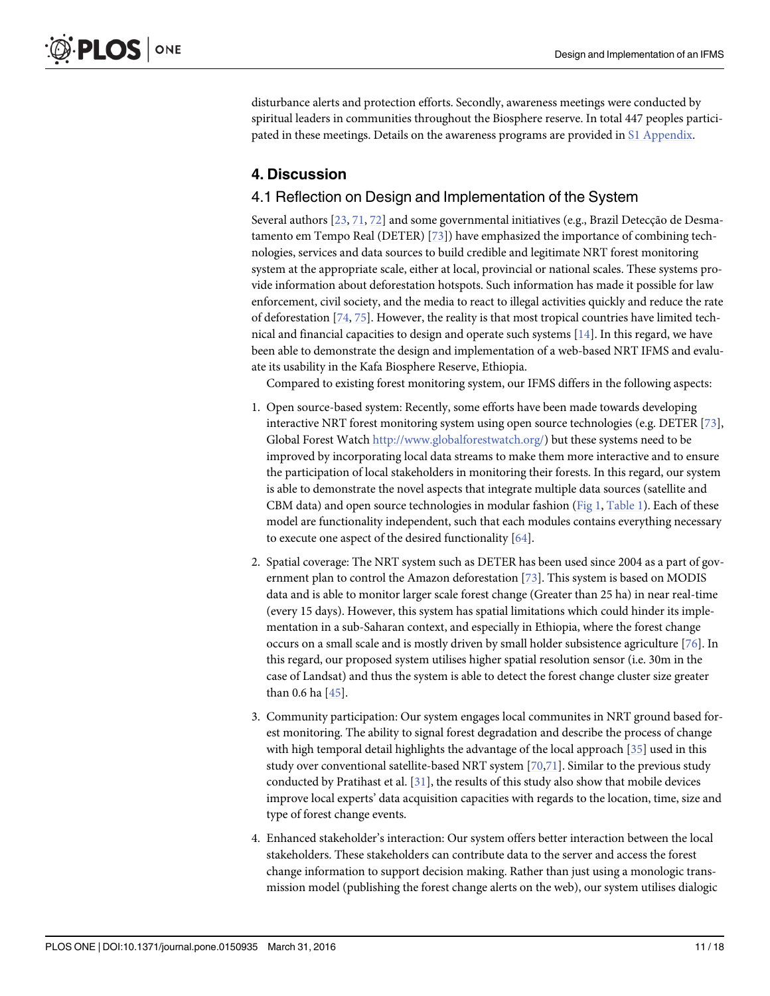<span id="page-10-0"></span>disturbance alerts and protection efforts. Secondly, awareness meetings were conducted by spiritual leaders in communities throughout the Biosphere reserve. In total 447 peoples partici-pated in these meetings. Details on the awareness programs are provided in [S1 Appendix.](#page-13-0)

## 4. Discussion

## 4.1 Reflection on Design and Implementation of the System

Several authors [\[23,](#page-14-0) [71,](#page-16-0) [72\]](#page-16-0) and some governmental initiatives (e.g., Brazil Detecção de Desmatamento em Tempo Real (DETER) [[73](#page-16-0)]) have emphasized the importance of combining technologies, services and data sources to build credible and legitimate NRT forest monitoring system at the appropriate scale, either at local, provincial or national scales. These systems provide information about deforestation hotspots. Such information has made it possible for law enforcement, civil society, and the media to react to illegal activities quickly and reduce the rate of deforestation  $[74, 75]$  $[74, 75]$  $[74, 75]$ . However, the reality is that most tropical countries have limited technical and financial capacities to design and operate such systems [[14](#page-14-0)]. In this regard, we have been able to demonstrate the design and implementation of a web-based NRT IFMS and evaluate its usability in the Kafa Biosphere Reserve, Ethiopia.

Compared to existing forest monitoring system, our IFMS differs in the following aspects:

- 1. Open source-based system: Recently, some efforts have been made towards developing interactive NRT forest monitoring system using open source technologies (e.g. DETER [\[73](#page-16-0)], Global Forest Watch [http://www.globalforestwatch.org/\)](http://www.globalforestwatch.org/) but these systems need to be improved by incorporating local data streams to make them more interactive and to ensure the participation of local stakeholders in monitoring their forests. In this regard, our system is able to demonstrate the novel aspects that integrate multiple data sources (satellite and CBM data) and open source technologies in modular fashion ( $Fig 1, Table 1$  $Fig 1, Table 1$ ). Each of these model are functionality independent, such that each modules contains everything necessary to execute one aspect of the desired functionality [[64](#page-16-0)].
- 2. Spatial coverage: The NRT system such as DETER has been used since 2004 as a part of government plan to control the Amazon deforestation [[73](#page-16-0)]. This system is based on MODIS data and is able to monitor larger scale forest change (Greater than 25 ha) in near real-time (every 15 days). However, this system has spatial limitations which could hinder its implementation in a sub-Saharan context, and especially in Ethiopia, where the forest change occurs on a small scale and is mostly driven by small holder subsistence agriculture [\[76\]](#page-17-0). In this regard, our proposed system utilises higher spatial resolution sensor (i.e. 30m in the case of Landsat) and thus the system is able to detect the forest change cluster size greater than 0.6 ha [[45](#page-15-0)].
- 3. Community participation: Our system engages local communites in NRT ground based forest monitoring. The ability to signal forest degradation and describe the process of change with high temporal detail highlights the advantage of the local approach [[35](#page-15-0)] used in this study over conventional satellite-based NRT system  $[70,71]$ . Similar to the previous study conducted by Pratihast et al.  $[31]$  $[31]$  $[31]$ , the results of this study also show that mobile devices improve local experts' data acquisition capacities with regards to the location, time, size and type of forest change events.
- 4. Enhanced stakeholder's interaction: Our system offers better interaction between the local stakeholders. These stakeholders can contribute data to the server and access the forest change information to support decision making. Rather than just using a monologic transmission model (publishing the forest change alerts on the web), our system utilises dialogic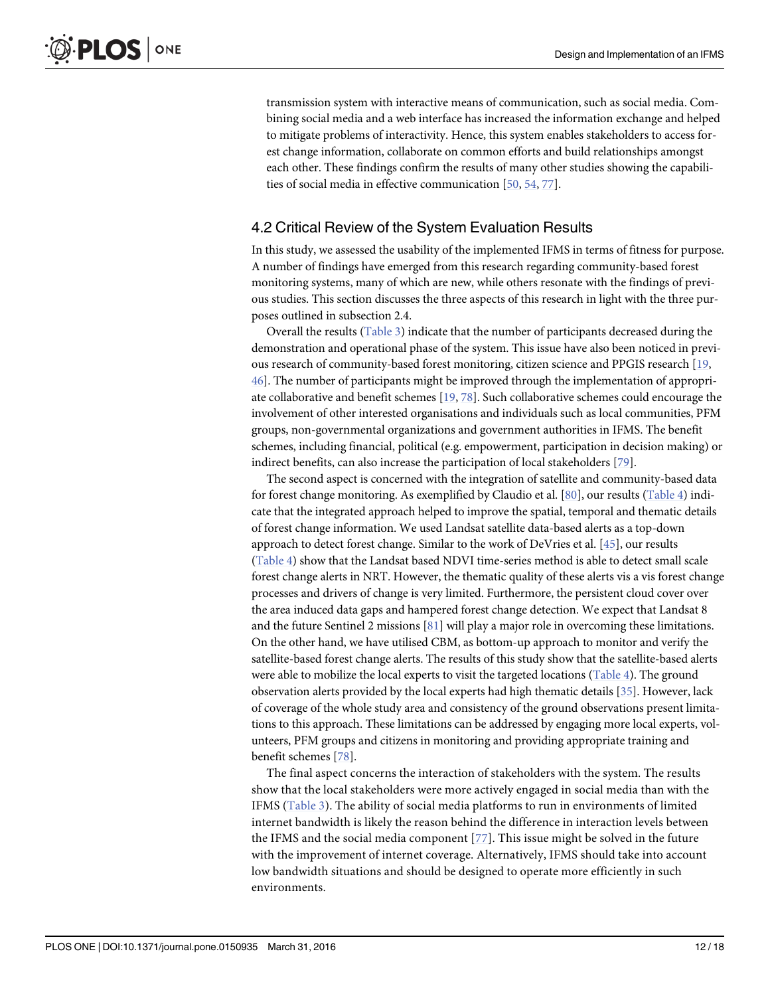<span id="page-11-0"></span>transmission system with interactive means of communication, such as social media. Combining social media and a web interface has increased the information exchange and helped to mitigate problems of interactivity. Hence, this system enables stakeholders to access forest change information, collaborate on common efforts and build relationships amongst each other. These findings confirm the results of many other studies showing the capabilities of social media in effective communication [\[50,](#page-15-0) [54,](#page-16-0) [77\]](#page-17-0).

## 4.2 Critical Review of the System Evaluation Results

In this study, we assessed the usability of the implemented IFMS in terms of fitness for purpose. A number of findings have emerged from this research regarding community-based forest monitoring systems, many of which are new, while others resonate with the findings of previous studies. This section discusses the three aspects of this research in light with the three purposes outlined in subsection 2.4.

Overall the results ([Table 3\)](#page-9-0) indicate that the number of participants decreased during the demonstration and operational phase of the system. This issue have also been noticed in previous research of community-based forest monitoring, citizen science and PPGIS research [[19,](#page-14-0) [46\]](#page-15-0). The number of participants might be improved through the implementation of appropriate collaborative and benefit schemes [[19](#page-14-0), [78](#page-17-0)]. Such collaborative schemes could encourage the involvement of other interested organisations and individuals such as local communities, PFM groups, non-governmental organizations and government authorities in IFMS. The benefit schemes, including financial, political (e.g. empowerment, participation in decision making) or indirect benefits, can also increase the participation of local stakeholders [\[79\]](#page-17-0).

The second aspect is concerned with the integration of satellite and community-based data for forest change monitoring. As exemplified by Claudio et al. [\[80\]](#page-17-0), our results [\(Table 4\)](#page-9-0) indicate that the integrated approach helped to improve the spatial, temporal and thematic details of forest change information. We used Landsat satellite data-based alerts as a top-down approach to detect forest change. Similar to the work of DeVries et al. [[45\]](#page-15-0), our results [\(Table 4\)](#page-9-0) show that the Landsat based NDVI time-series method is able to detect small scale forest change alerts in NRT. However, the thematic quality of these alerts vis a vis forest change processes and drivers of change is very limited. Furthermore, the persistent cloud cover over the area induced data gaps and hampered forest change detection. We expect that Landsat 8 and the future Sentinel 2 missions  $[81]$  $[81]$  $[81]$  will play a major role in overcoming these limitations. On the other hand, we have utilised CBM, as bottom-up approach to monitor and verify the satellite-based forest change alerts. The results of this study show that the satellite-based alerts were able to mobilize the local experts to visit the targeted locations ([Table 4\)](#page-9-0). The ground observation alerts provided by the local experts had high thematic details  $[35]$  $[35]$  $[35]$ . However, lack of coverage of the whole study area and consistency of the ground observations present limitations to this approach. These limitations can be addressed by engaging more local experts, volunteers, PFM groups and citizens in monitoring and providing appropriate training and benefit schemes [\[78](#page-17-0)].

The final aspect concerns the interaction of stakeholders with the system. The results show that the local stakeholders were more actively engaged in social media than with the IFMS [\(Table 3](#page-9-0)). The ability of social media platforms to run in environments of limited internet bandwidth is likely the reason behind the difference in interaction levels between the IFMS and the social media component [[77](#page-17-0)]. This issue might be solved in the future with the improvement of internet coverage. Alternatively, IFMS should take into account low bandwidth situations and should be designed to operate more efficiently in such environments.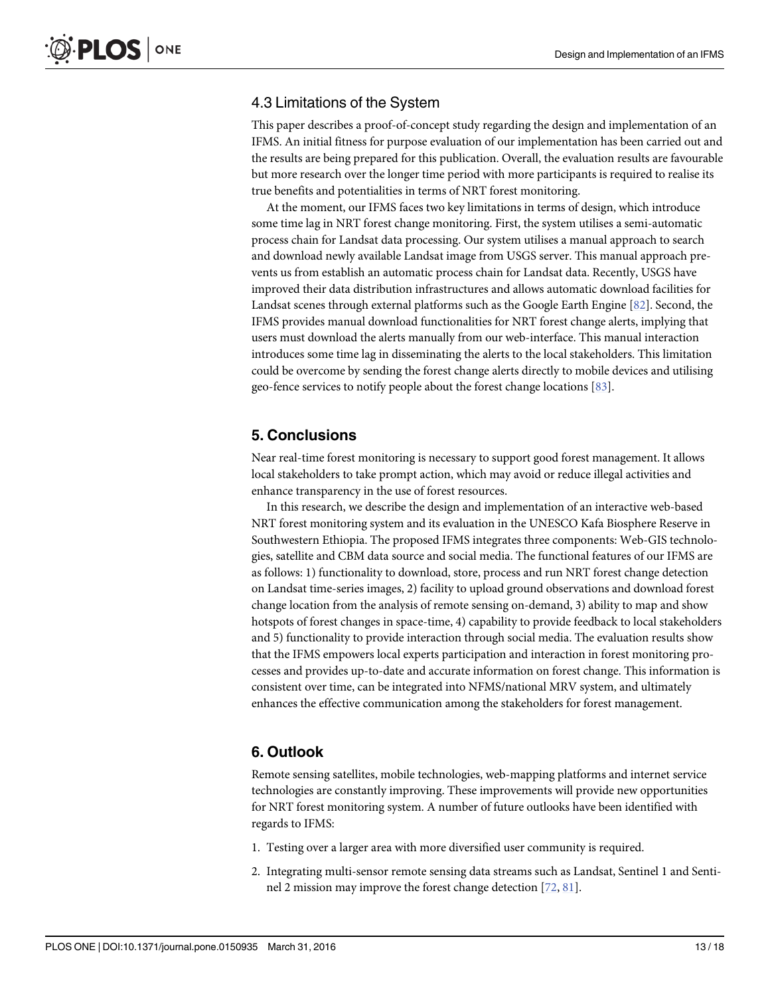## <span id="page-12-0"></span>4.3 Limitations of the System

This paper describes a proof-of-concept study regarding the design and implementation of an IFMS. An initial fitness for purpose evaluation of our implementation has been carried out and the results are being prepared for this publication. Overall, the evaluation results are favourable but more research over the longer time period with more participants is required to realise its true benefits and potentialities in terms of NRT forest monitoring.

At the moment, our IFMS faces two key limitations in terms of design, which introduce some time lag in NRT forest change monitoring. First, the system utilises a semi-automatic process chain for Landsat data processing. Our system utilises a manual approach to search and download newly available Landsat image from USGS server. This manual approach prevents us from establish an automatic process chain for Landsat data. Recently, USGS have improved their data distribution infrastructures and allows automatic download facilities for Landsat scenes through external platforms such as the Google Earth Engine [[82\]](#page-17-0). Second, the IFMS provides manual download functionalities for NRT forest change alerts, implying that users must download the alerts manually from our web-interface. This manual interaction introduces some time lag in disseminating the alerts to the local stakeholders. This limitation could be overcome by sending the forest change alerts directly to mobile devices and utilising geo-fence services to notify people about the forest change locations [\[83](#page-17-0)].

## 5. Conclusions

Near real-time forest monitoring is necessary to support good forest management. It allows local stakeholders to take prompt action, which may avoid or reduce illegal activities and enhance transparency in the use of forest resources.

In this research, we describe the design and implementation of an interactive web-based NRT forest monitoring system and its evaluation in the UNESCO Kafa Biosphere Reserve in Southwestern Ethiopia. The proposed IFMS integrates three components: Web-GIS technologies, satellite and CBM data source and social media. The functional features of our IFMS are as follows: 1) functionality to download, store, process and run NRT forest change detection on Landsat time-series images, 2) facility to upload ground observations and download forest change location from the analysis of remote sensing on-demand, 3) ability to map and show hotspots of forest changes in space-time, 4) capability to provide feedback to local stakeholders and 5) functionality to provide interaction through social media. The evaluation results show that the IFMS empowers local experts participation and interaction in forest monitoring processes and provides up-to-date and accurate information on forest change. This information is consistent over time, can be integrated into NFMS/national MRV system, and ultimately enhances the effective communication among the stakeholders for forest management.

## 6. Outlook

Remote sensing satellites, mobile technologies, web-mapping platforms and internet service technologies are constantly improving. These improvements will provide new opportunities for NRT forest monitoring system. A number of future outlooks have been identified with regards to IFMS:

- 1. Testing over a larger area with more diversified user community is required.
- 2. Integrating multi-sensor remote sensing data streams such as Landsat, Sentinel 1 and Sentinel 2 mission may improve the forest change detection [\[72](#page-16-0), [81](#page-17-0)].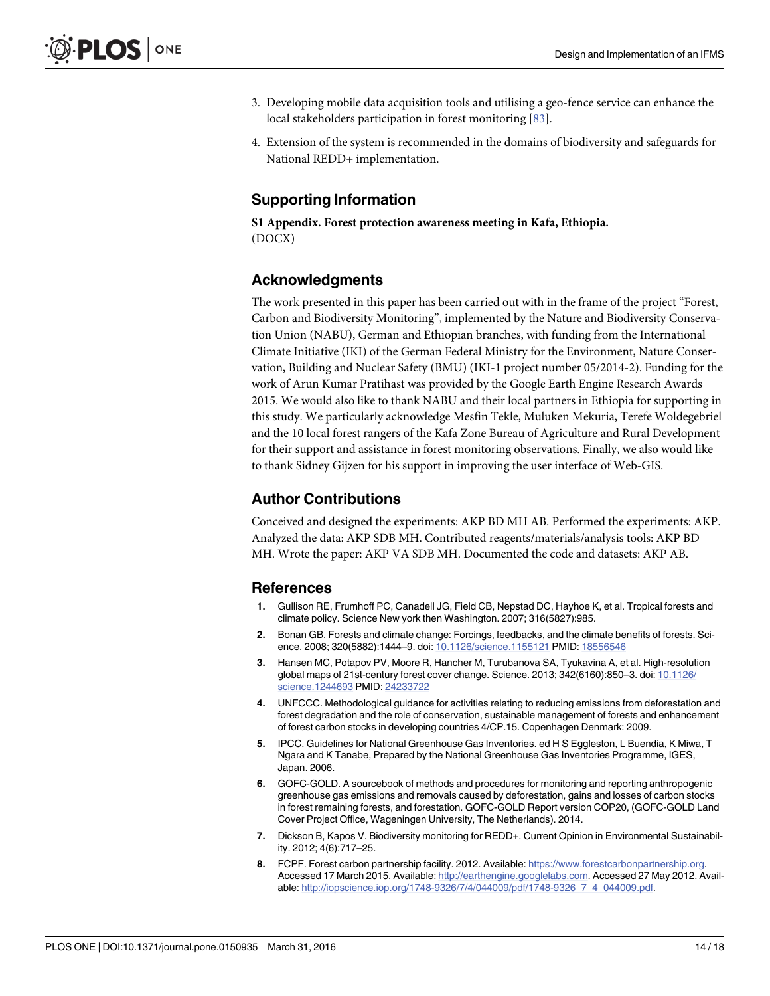- <span id="page-13-0"></span>3. Developing mobile data acquisition tools and utilising a geo-fence service can enhance the local stakeholders participation in forest monitoring [\[83\]](#page-17-0).
- 4. Extension of the system is recommended in the domains of biodiversity and safeguards for National REDD+ implementation.

## Supporting Information

[S1 Appendix.](http://www.plosone.org/article/fetchSingleRepresentation.action?uri=info:doi/10.1371/journal.pone.0150935.s001) Forest protection awareness meeting in Kafa, Ethiopia. (DOCX)

## Acknowledgments

The work presented in this paper has been carried out with in the frame of the project "Forest, Carbon and Biodiversity Monitoring", implemented by the Nature and Biodiversity Conservation Union (NABU), German and Ethiopian branches, with funding from the International Climate Initiative (IKI) of the German Federal Ministry for the Environment, Nature Conservation, Building and Nuclear Safety (BMU) (IKI-1 project number 05/2014-2). Funding for the work of Arun Kumar Pratihast was provided by the Google Earth Engine Research Awards 2015. We would also like to thank NABU and their local partners in Ethiopia for supporting in this study. We particularly acknowledge Mesfin Tekle, Muluken Mekuria, Terefe Woldegebriel and the 10 local forest rangers of the Kafa Zone Bureau of Agriculture and Rural Development for their support and assistance in forest monitoring observations. Finally, we also would like to thank Sidney Gijzen for his support in improving the user interface of Web-GIS.

## Author Contributions

Conceived and designed the experiments: AKP BD MH AB. Performed the experiments: AKP. Analyzed the data: AKP SDB MH. Contributed reagents/materials/analysis tools: AKP BD MH. Wrote the paper: AKP VA SDB MH. Documented the code and datasets: AKP AB.

#### References

- [1.](#page-0-0) Gullison RE, Frumhoff PC, Canadell JG, Field CB, Nepstad DC, Hayhoe K, et al. Tropical forests and climate policy. Science New york then Washington. 2007; 316(5827):985.
- [2.](#page-0-0) Bonan GB. Forests and climate change: Forcings, feedbacks, and the climate benefits of forests. Science. 2008; 320(5882):1444–9. doi: [10.1126/science.1155121](http://dx.doi.org/10.1126/science.1155121) PMID: [18556546](http://www.ncbi.nlm.nih.gov/pubmed/18556546)
- [3.](#page-0-0) Hansen MC, Potapov PV, Moore R, Hancher M, Turubanova SA, Tyukavina A, et al. High-resolution global maps of 21st-century forest cover change. Science. 2013; 342(6160):850–3. doi: [10.1126/](http://dx.doi.org/10.1126/science.1244693) [science.1244693](http://dx.doi.org/10.1126/science.1244693) PMID: [24233722](http://www.ncbi.nlm.nih.gov/pubmed/24233722)
- [4.](#page-0-0) UNFCCC. Methodological guidance for activities relating to reducing emissions from deforestation and forest degradation and the role of conservation, sustainable management of forests and enhancement of forest carbon stocks in developing countries 4/CP.15. Copenhagen Denmark: 2009.
- [5.](#page-0-0) IPCC. Guidelines for National Greenhouse Gas Inventories. ed H S Eggleston, L Buendia, K Miwa, T Ngara and K Tanabe, Prepared by the National Greenhouse Gas Inventories Programme, IGES, Japan. 2006.
- 6. GOFC-GOLD. A sourcebook of methods and procedures for monitoring and reporting anthropogenic greenhouse gas emissions and removals caused by deforestation, gains and losses of carbon stocks in forest remaining forests, and forestation. GOFC-GOLD Report version COP20, (GOFC-GOLD Land Cover Project Office, Wageningen University, The Netherlands). 2014.
- [7.](#page-0-0) Dickson B, Kapos V. Biodiversity monitoring for REDD+. Current Opinion in Environmental Sustainability. 2012; 4(6):717–25.
- [8.](#page-1-0) FCPF. Forest carbon partnership facility. 2012. Available: <https://www.forestcarbonpartnership.org>. Accessed 17 March 2015. Available: [http://earthengine.googlelabs.com.](http://earthengine.googlelabs.com) Accessed 27 May 2012. Available: [http://iopscience.iop.org/1748-9326/7/4/044009/pdf/1748-9326\\_7\\_4\\_044009.pdf](http://iopscience.iop.org/1748-9326/7/4/044009/pdf/1748-9326_7_4_044009.pdf).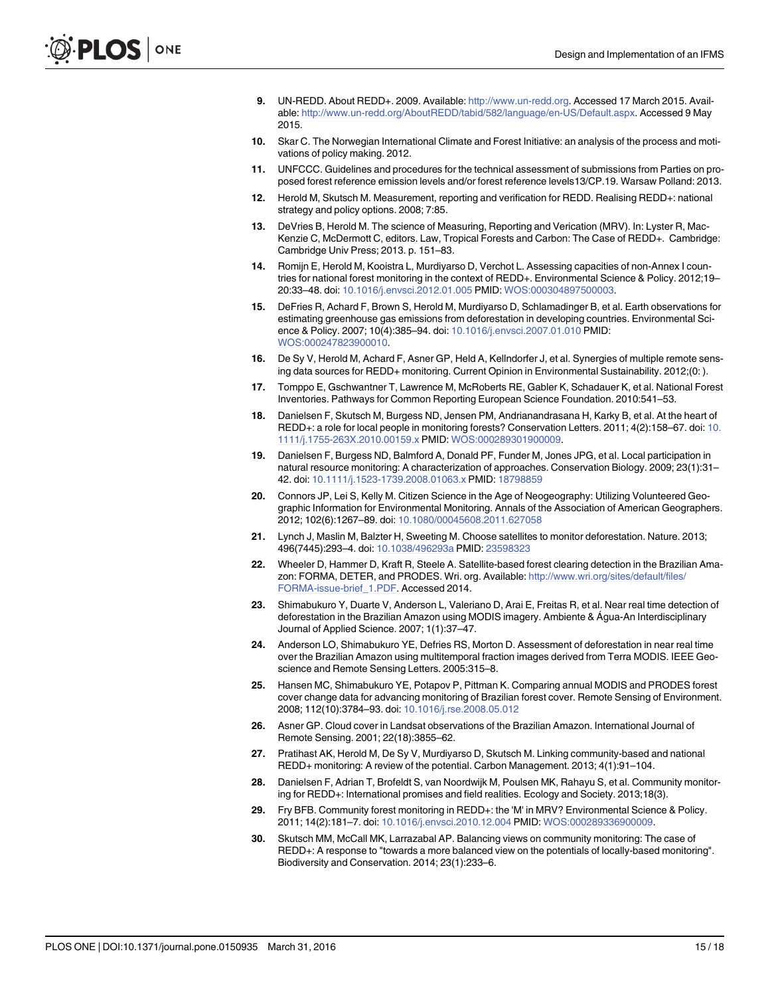- <span id="page-14-0"></span>9. UN-REDD. About REDD+. 2009. Available: <http://www.un-redd.org>. Accessed 17 March 2015. Available: [http://www.un-redd.org/AboutREDD/tabid/582/language/en-US/Default.aspx.](http://www.un-redd.org/AboutREDD/tabid/582/language/en-US/Default.aspx) Accessed 9 May 2015.
- [10.](#page-1-0) Skar C. The Norwegian International Climate and Forest Initiative: an analysis of the process and motivations of policy making. 2012.
- [11.](#page-1-0) UNFCCC. Guidelines and procedures for the technical assessment of submissions from Parties on proposed forest reference emission levels and/or forest reference levels13/CP.19. Warsaw Polland: 2013.
- [12.](#page-1-0) Herold M, Skutsch M. Measurement, reporting and verification for REDD. Realising REDD+: national strategy and policy options. 2008; 7:85.
- [13.](#page-1-0) DeVries B, Herold M. The science of Measuring, Reporting and Verication (MRV). In: Lyster R, Mac-Kenzie C, McDermott C, editors. Law, Tropical Forests and Carbon: The Case of REDD+. Cambridge: Cambridge Univ Press; 2013. p. 151–83.
- [14.](#page-1-0) Romijn E, Herold M, Kooistra L, Murdiyarso D, Verchot L. Assessing capacities of non-Annex I countries for national forest monitoring in the context of REDD+. Environmental Science & Policy. 2012;19-20:33–48. doi: [10.1016/j.envsci.2012.01.005](http://dx.doi.org/10.1016/j.envsci.2012.01.005) PMID: [WOS:000304897500003](http://www.ncbi.nlm.nih.gov/pubmed/WOS:000304897500003).
- [15.](#page-1-0) DeFries R, Achard F, Brown S, Herold M, Murdiyarso D, Schlamadinger B, et al. Earth observations for estimating greenhouse gas emissions from deforestation in developing countries. Environmental Science & Policy. 2007; 10(4):385–94. doi: [10.1016/j.envsci.2007.01.010](http://dx.doi.org/10.1016/j.envsci.2007.01.010) PMID: [WOS:000247823900010](http://www.ncbi.nlm.nih.gov/pubmed/WOS:000247823900010).
- [16.](#page-1-0) De Sy V, Herold M, Achard F, Asner GP, Held A, Kellndorfer J, et al. Synergies of multiple remote sensing data sources for REDD+ monitoring. Current Opinion in Environmental Sustainability. 2012;(0: ).
- [17.](#page-1-0) Tomppo E, Gschwantner T, Lawrence M, McRoberts RE, Gabler K, Schadauer K, et al. National Forest Inventories. Pathways for Common Reporting European Science Foundation. 2010:541–53.
- [18.](#page-1-0) Danielsen F, Skutsch M, Burgess ND, Jensen PM, Andrianandrasana H, Karky B, et al. At the heart of REDD+: a role for local people in monitoring forests? Conservation Letters. 2011; 4(2):158–67. doi: [10.](http://dx.doi.org/10.1111/j.1755-263X.2010.00159.x) [1111/j.1755-263X.2010.00159.x](http://dx.doi.org/10.1111/j.1755-263X.2010.00159.x) PMID: [WOS:000289301900009](http://www.ncbi.nlm.nih.gov/pubmed/WOS:000289301900009).
- [19.](#page-1-0) Danielsen F, Burgess ND, Balmford A, Donald PF, Funder M, Jones JPG, et al. Local participation in natural resource monitoring: A characterization of approaches. Conservation Biology. 2009; 23(1):31– 42. doi: [10.1111/j.1523-1739.2008.01063.x](http://dx.doi.org/10.1111/j.1523-1739.2008.01063.x) PMID: [18798859](http://www.ncbi.nlm.nih.gov/pubmed/18798859)
- [20.](#page-1-0) Connors JP, Lei S, Kelly M. Citizen Science in the Age of Neogeography: Utilizing Volunteered Geographic Information for Environmental Monitoring. Annals of the Association of American Geographers. 2012; 102(6):1267–89. doi: [10.1080/00045608.2011.627058](http://dx.doi.org/10.1080/00045608.2011.627058)
- [21.](#page-1-0) Lynch J, Maslin M, Balzter H, Sweeting M. Choose satellites to monitor deforestation. Nature. 2013; 496(7445):293–4. doi: [10.1038/496293a](http://dx.doi.org/10.1038/496293a) PMID: [23598323](http://www.ncbi.nlm.nih.gov/pubmed/23598323)
- [22.](#page-1-0) Wheeler D, Hammer D, Kraft R, Steele A. Satellite-based forest clearing detection in the Brazilian Amazon: FORMA, DETER, and PRODES. Wri. org. Available: [http://www.wri.org/sites/default/files/](http://www.wri.org/sites/default/files/FORMA-issue-brief_1.PDF) [FORMA-issue-brief\\_1.PDF](http://www.wri.org/sites/default/files/FORMA-issue-brief_1.PDF). Accessed 2014.
- [23.](#page-1-0) Shimabukuro Y, Duarte V, Anderson L, Valeriano D, Arai E, Freitas R, et al. Near real time detection of deforestation in the Brazilian Amazon using MODIS imagery. Ambiente & Água-An Interdisciplinary Journal of Applied Science. 2007; 1(1):37–47.
- [24.](#page-1-0) Anderson LO, Shimabukuro YE, Defries RS, Morton D. Assessment of deforestation in near real time over the Brazilian Amazon using multitemporal fraction images derived from Terra MODIS. IEEE Geoscience and Remote Sensing Letters. 2005:315–8.
- [25.](#page-1-0) Hansen MC, Shimabukuro YE, Potapov P, Pittman K. Comparing annual MODIS and PRODES forest cover change data for advancing monitoring of Brazilian forest cover. Remote Sensing of Environment. 2008; 112(10):3784–93. doi: [10.1016/j.rse.2008.05.012](http://dx.doi.org/10.1016/j.rse.2008.05.012)
- [26.](#page-1-0) Asner GP. Cloud cover in Landsat observations of the Brazilian Amazon. International Journal of Remote Sensing. 2001; 22(18):3855–62.
- [27.](#page-1-0) Pratihast AK, Herold M, De Sy V, Murdiyarso D, Skutsch M. Linking community-based and national REDD+ monitoring: A review of the potential. Carbon Management. 2013; 4(1):91–104.
- [28.](#page-1-0) Danielsen F, Adrian T, Brofeldt S, van Noordwijk M, Poulsen MK, Rahayu S, et al. Community monitoring for REDD+: International promises and field realities. Ecology and Society. 2013;18(3).
- 29. Fry BFB. Community forest monitoring in REDD+: the 'M' in MRV? Environmental Science & Policy. 2011; 14(2):181–7. doi: [10.1016/j.envsci.2010.12.004](http://dx.doi.org/10.1016/j.envsci.2010.12.004) PMID: [WOS:000289336900009](http://www.ncbi.nlm.nih.gov/pubmed/WOS:000289336900009).
- [30.](#page-1-0) Skutsch MM, McCall MK, Larrazabal AP. Balancing views on community monitoring: The case of REDD+: A response to "towards a more balanced view on the potentials of locally-based monitoring". Biodiversity and Conservation. 2014; 23(1):233–6.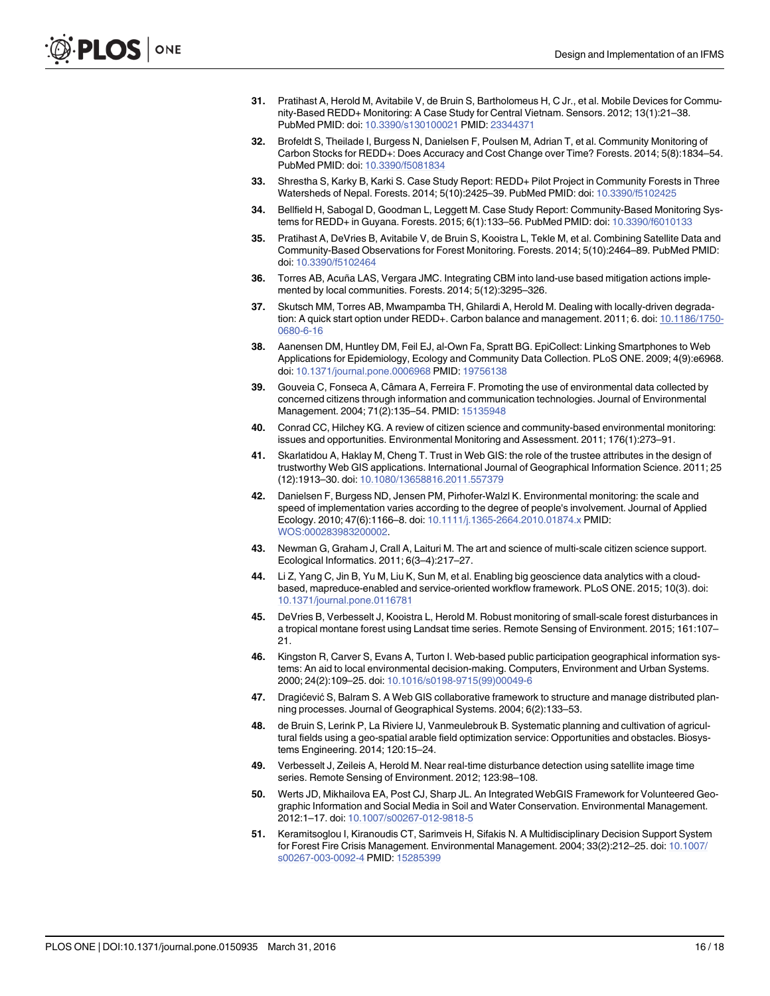- <span id="page-15-0"></span>[31.](#page-1-0) Pratihast A, Herold M, Avitabile V, de Bruin S, Bartholomeus H, C Jr., et al. Mobile Devices for Community-Based REDD+ Monitoring: A Case Study for Central Vietnam. Sensors. 2012; 13(1):21–38. PubMed PMID: doi: [10.3390/s130100021](http://dx.doi.org/10.3390/s130100021) PMID: [23344371](http://www.ncbi.nlm.nih.gov/pubmed/23344371)
- 32. Brofeldt S, Theilade I, Burgess N, Danielsen F, Poulsen M, Adrian T, et al. Community Monitoring of Carbon Stocks for REDD+: Does Accuracy and Cost Change over Time? Forests. 2014; 5(8):1834–54. PubMed PMID: doi: [10.3390/f5081834](http://dx.doi.org/10.3390/f5081834)
- [33.](#page-1-0) Shrestha S, Karky B, Karki S. Case Study Report: REDD+ Pilot Project in Community Forests in Three Watersheds of Nepal. Forests. 2014; 5(10):2425–39. PubMed PMID: doi: [10.3390/f5102425](http://dx.doi.org/10.3390/f5102425)
- [34.](#page-1-0) Bellfield H, Sabogal D, Goodman L, Leggett M. Case Study Report: Community-Based Monitoring Systems for REDD+ in Guyana. Forests. 2015; 6(1):133–56. PubMed PMID: doi: [10.3390/f6010133](http://dx.doi.org/10.3390/f6010133)
- [35.](#page-1-0) Pratihast A, DeVries B, Avitabile V, de Bruin S, Kooistra L, Tekle M, et al. Combining Satellite Data and Community-Based Observations for Forest Monitoring. Forests. 2014; 5(10):2464–89. PubMed PMID: doi: [10.3390/f5102464](http://dx.doi.org/10.3390/f5102464)
- 36. Torres AB, Acuña LAS, Vergara JMC. Integrating CBM into land-use based mitigation actions implemented by local communities. Forests. 2014; 5(12):3295–326.
- [37.](#page-1-0) Skutsch MM, Torres AB, Mwampamba TH, Ghilardi A, Herold M. Dealing with locally-driven degradation: A quick start option under REDD+. Carbon balance and management. 2011; 6. doi: [10.1186/1750-](http://dx.doi.org/10.1186/1750-0680-6-16) [0680-6-16](http://dx.doi.org/10.1186/1750-0680-6-16)
- [38.](#page-1-0) Aanensen DM, Huntley DM, Feil EJ, al-Own Fa, Spratt BG. EpiCollect: Linking Smartphones to Web Applications for Epidemiology, Ecology and Community Data Collection. PLoS ONE. 2009; 4(9):e6968. doi: [10.1371/journal.pone.0006968](http://dx.doi.org/10.1371/journal.pone.0006968) PMID: [19756138](http://www.ncbi.nlm.nih.gov/pubmed/19756138)
- [39.](#page-1-0) Gouveia C, Fonseca A, Câmara A, Ferreira F. Promoting the use of environmental data collected by concerned citizens through information and communication technologies. Journal of Environmental Management. 2004; 71(2):135–54. PMID: [15135948](http://www.ncbi.nlm.nih.gov/pubmed/15135948)
- [40.](#page-1-0) Conrad CC, Hilchey KG. A review of citizen science and community-based environmental monitoring: issues and opportunities. Environmental Monitoring and Assessment. 2011; 176(1):273–91.
- 41. Skarlatidou A, Haklay M, Cheng T. Trust in Web GIS: the role of the trustee attributes in the design of trustworthy Web GIS applications. International Journal of Geographical Information Science. 2011; 25 (12):1913–30. doi: [10.1080/13658816.2011.557379](http://dx.doi.org/10.1080/13658816.2011.557379)
- [42.](#page-1-0) Danielsen F, Burgess ND, Jensen PM, Pirhofer-Walzl K. Environmental monitoring: the scale and speed of implementation varies according to the degree of people's involvement. Journal of Applied Ecology. 2010; 47(6):1166–8. doi: [10.1111/j.1365-2664.2010.01874.x](http://dx.doi.org/10.1111/j.1365-2664.2010.01874.x) PMID: [WOS:000283983200002](http://www.ncbi.nlm.nih.gov/pubmed/WOS:000283983200002).
- [43.](#page-1-0) Newman G, Graham J, Crall A, Laituri M. The art and science of multi-scale citizen science support. Ecological Informatics. 2011; 6(3–4):217–27.
- [44.](#page-1-0) Li Z, Yang C, Jin B, Yu M, Liu K, Sun M, et al. Enabling big geoscience data analytics with a cloudbased, mapreduce-enabled and service-oriented workflow framework. PLoS ONE. 2015; 10(3). doi: [10.1371/journal.pone.0116781](http://dx.doi.org/10.1371/journal.pone.0116781)
- [45.](#page-1-0) DeVries B, Verbesselt J, Kooistra L, Herold M. Robust monitoring of small-scale forest disturbances in a tropical montane forest using Landsat time series. Remote Sensing of Environment. 2015; 161:107– 21.
- [46.](#page-2-0) Kingston R, Carver S, Evans A, Turton I. Web-based public participation geographical information systems: An aid to local environmental decision-making. Computers, Environment and Urban Systems. 2000; 24(2):109–25. doi: [10.1016/s0198-9715\(99\)00049-6](http://dx.doi.org/10.1016/s0198-9715(99)00049-6)
- [47.](#page-2-0) Dragićević S, Balram S. A Web GIS collaborative framework to structure and manage distributed planning processes. Journal of Geographical Systems. 2004; 6(2):133–53.
- [48.](#page-2-0) de Bruin S, Lerink P, La Riviere IJ, Vanmeulebrouk B. Systematic planning and cultivation of agricultural fields using a geo-spatial arable field optimization service: Opportunities and obstacles. Biosystems Engineering. 2014; 120:15–24.
- [49.](#page-2-0) Verbesselt J, Zeileis A, Herold M. Near real-time disturbance detection using satellite image time series. Remote Sensing of Environment. 2012; 123:98–108.
- [50.](#page-3-0) Werts JD, Mikhailova EA, Post CJ, Sharp JL. An Integrated WebGIS Framework for Volunteered Geographic Information and Social Media in Soil and Water Conservation. Environmental Management. 2012:1–17. doi: [10.1007/s00267-012-9818-5](http://dx.doi.org/10.1007/s00267-012-9818-5)
- 51. Keramitsoglou I, Kiranoudis CT, Sarimveis H, Sifakis N. A Multidisciplinary Decision Support System for Forest Fire Crisis Management. Environmental Management. 2004; 33(2):212–25. doi: [10.1007/](http://dx.doi.org/10.1007/s00267-003-0092-4) [s00267-003-0092-4](http://dx.doi.org/10.1007/s00267-003-0092-4) PMID: [15285399](http://www.ncbi.nlm.nih.gov/pubmed/15285399)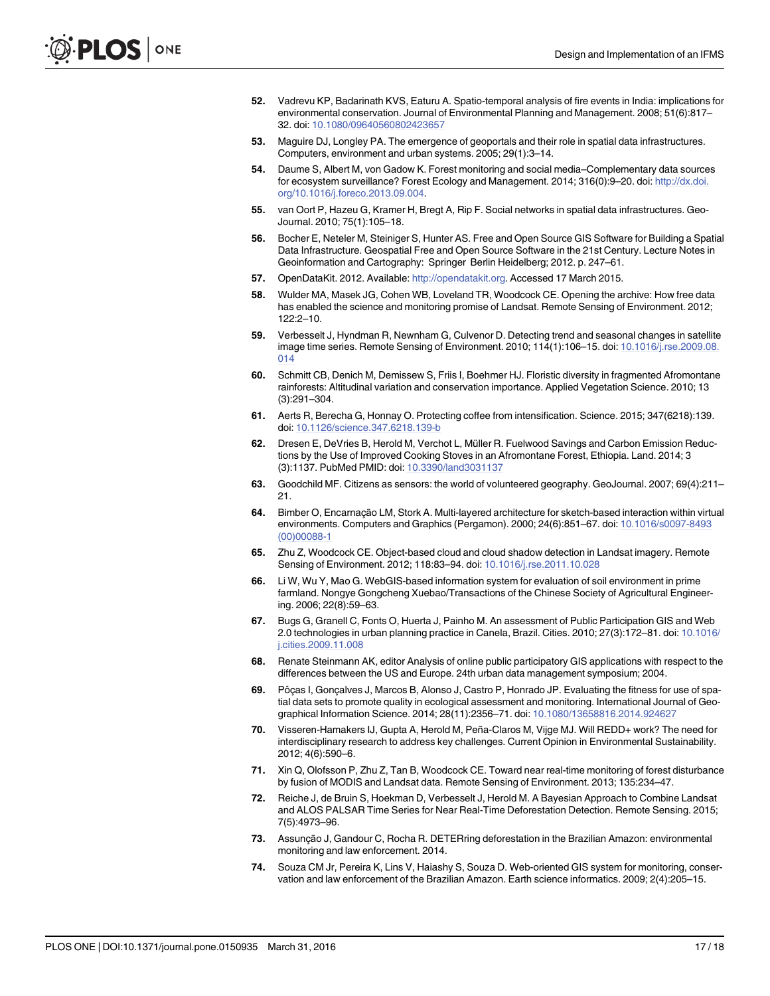- <span id="page-16-0"></span>[52.](#page-2-0) Vadrevu KP, Badarinath KVS, Eaturu A. Spatio-temporal analysis of fire events in India: implications for environmental conservation. Journal of Environmental Planning and Management. 2008; 51(6):817– 32. doi: [10.1080/09640560802423657](http://dx.doi.org/10.1080/09640560802423657)
- [53.](#page-2-0) Maguire DJ, Longley PA. The emergence of geoportals and their role in spatial data infrastructures. Computers, environment and urban systems. 2005; 29(1):3–14.
- [54.](#page-2-0) Daume S, Albert M, von Gadow K. Forest monitoring and social media–Complementary data sources for ecosystem surveillance? Forest Ecology and Management. 2014; 316(0):9-20. doi: [http://dx.doi.](http://dx.doi.org/10.1016/j.foreco.2013.09.004) [org/10.1016/j.foreco.2013.09.004](http://dx.doi.org/10.1016/j.foreco.2013.09.004).
- [55.](#page-2-0) van Oort P, Hazeu G, Kramer H, Bregt A, Rip F. Social networks in spatial data infrastructures. Geo-Journal. 2010; 75(1):105–18.
- [56.](#page-2-0) Bocher E, Neteler M, Steiniger S, Hunter AS. Free and Open Source GIS Software for Building a Spatial Data Infrastructure. Geospatial Free and Open Source Software in the 21st Century. Lecture Notes in Geoinformation and Cartography: Springer Berlin Heidelberg; 2012. p. 247–61.
- [57.](#page-2-0) OpenDataKit. 2012. Available: [http://opendatakit.org.](http://opendatakit.org) Accessed 17 March 2015.
- [58.](#page-2-0) Wulder MA, Masek JG, Cohen WB, Loveland TR, Woodcock CE. Opening the archive: How free data has enabled the science and monitoring promise of Landsat. Remote Sensing of Environment. 2012; 122:2–10.
- [59.](#page-2-0) Verbesselt J, Hyndman R, Newnham G, Culvenor D. Detecting trend and seasonal changes in satellite image time series. Remote Sensing of Environment. 2010; 114(1):106–15. doi: [10.1016/j.rse.2009.08.](http://dx.doi.org/10.1016/j.rse.2009.08.014) [014](http://dx.doi.org/10.1016/j.rse.2009.08.014)
- [60.](#page-3-0) Schmitt CB, Denich M, Demissew S, Friis I, Boehmer HJ. Floristic diversity in fragmented Afromontane rainforests: Altitudinal variation and conservation importance. Applied Vegetation Science. 2010; 13 (3):291–304.
- [61.](#page-3-0) Aerts R, Berecha G, Honnay O. Protecting coffee from intensification. Science. 2015; 347(6218):139. doi: [10.1126/science.347.6218.139-b](http://dx.doi.org/10.1126/science.347.6218.139-b)
- [62.](#page-3-0) Dresen E, DeVries B, Herold M, Verchot L, Müller R. Fuelwood Savings and Carbon Emission Reductions by the Use of Improved Cooking Stoves in an Afromontane Forest, Ethiopia. Land. 2014; 3 (3):1137. PubMed PMID: doi: [10.3390/land3031137](http://dx.doi.org/10.3390/land3031137)
- [63.](#page-3-0) Goodchild MF. Citizens as sensors: the world of volunteered geography. GeoJournal. 2007; 69(4):211– 21.
- [64.](#page-3-0) Bimber O, Encarnação LM, Stork A. Multi-layered architecture for sketch-based interaction within virtual environments. Computers and Graphics (Pergamon). 2000; 24(6):851–67. doi: [10.1016/s0097-8493](http://dx.doi.org/10.1016/s0097-8493(00)00088-1) [\(00\)00088-1](http://dx.doi.org/10.1016/s0097-8493(00)00088-1)
- [65.](#page-5-0) Zhu Z, Woodcock CE. Object-based cloud and cloud shadow detection in Landsat imagery. Remote Sensing of Environment. 2012; 118:83–94. doi: [10.1016/j.rse.2011.10.028](http://dx.doi.org/10.1016/j.rse.2011.10.028)
- [66.](#page-5-0) Li W, Wu Y, Mao G. WebGIS-based information system for evaluation of soil environment in prime farmland. Nongye Gongcheng Xuebao/Transactions of the Chinese Society of Agricultural Engineering. 2006; 22(8):59–63.
- [67.](#page-5-0) Bugs G, Granell C, Fonts O, Huerta J, Painho M. An assessment of Public Participation GIS and Web 2.0 technologies in urban planning practice in Canela, Brazil. Cities. 2010; 27(3):172–81. doi: [10.1016/](http://dx.doi.org/10.1016/j.cities.2009.11.008) [j.cities.2009.11.008](http://dx.doi.org/10.1016/j.cities.2009.11.008)
- [68.](#page-5-0) Renate Steinmann AK, editor Analysis of online public participatory GIS applications with respect to the differences between the US and Europe. 24th urban data management symposium; 2004.
- [69.](#page-5-0) Pôças I, Gonçalves J, Marcos B, Alonso J, Castro P, Honrado JP. Evaluating the fitness for use of spatial data sets to promote quality in ecological assessment and monitoring. International Journal of Geographical Information Science. 2014; 28(11):2356–71. doi: [10.1080/13658816.2014.924627](http://dx.doi.org/10.1080/13658816.2014.924627)
- [70.](#page-6-0) Visseren-Hamakers IJ, Gupta A, Herold M, Peña-Claros M, Vijge MJ. Will REDD+ work? The need for interdisciplinary research to address key challenges. Current Opinion in Environmental Sustainability. 2012; 4(6):590–6.
- [71.](#page-10-0) Xin Q, Olofsson P, Zhu Z, Tan B, Woodcock CE. Toward near real-time monitoring of forest disturbance by fusion of MODIS and Landsat data. Remote Sensing of Environment. 2013; 135:234–47.
- [72.](#page-10-0) Reiche J, de Bruin S, Hoekman D, Verbesselt J, Herold M. A Bayesian Approach to Combine Landsat and ALOS PALSAR Time Series for Near Real-Time Deforestation Detection. Remote Sensing. 2015; 7(5):4973–96.
- [73.](#page-10-0) Assunção J, Gandour C, Rocha R. DETERring deforestation in the Brazilian Amazon: environmental monitoring and law enforcement. 2014.
- [74.](#page-10-0) Souza CM Jr, Pereira K, Lins V, Haiashy S, Souza D. Web-oriented GIS system for monitoring, conservation and law enforcement of the Brazilian Amazon. Earth science informatics. 2009; 2(4):205–15.